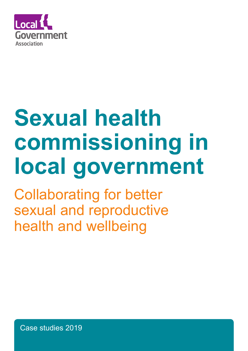

# **Sexual health commissioning in local government**

Collaborating for better sexual and reproductive health and wellbeing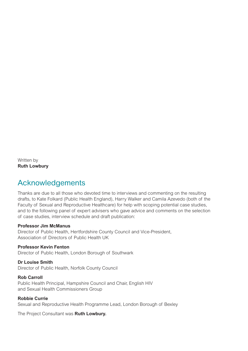Written by **Ruth Lowbury**

### Acknowledgements

Thanks are due to all those who devoted time to interviews and commenting on the resulting drafts, to Kate Folkard (Public Health England), Harry Walker and Camila Azevedo (both of the Faculty of Sexual and Reproductive Healthcare) for help with scoping potential case studies, and to the following panel of expert advisers who gave advice and comments on the selection of case studies, interview schedule and draft publication:

#### **Professor Jim McManus**

Director of Public Health, Hertfordshire County Council and Vice-President, Association of Directors of Public Health UK

#### **Professor Kevin Fenton**

Director of Public Health, London Borough of Southwark

#### **Dr Louise Smith**

Director of Public Health, Norfolk County Council

#### **Rob Carroll**

Public Health Principal, Hampshire Council and Chair, English HIV and Sexual Health Commissioners Group

#### **Robbie Currie**

Sexual and Reproductive Health Programme Lead, London Borough of Bexley

The Project Consultant was **Ruth Lowbury.**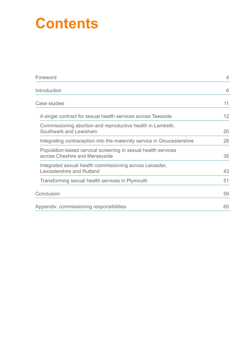## **Contents**

| Foreword                                                                                        | $\overline{4}$ |
|-------------------------------------------------------------------------------------------------|----------------|
| Introduction                                                                                    | 6              |
| Case studies                                                                                    | 11             |
| A single contract for sexual health services across Teesside                                    | 12             |
| Commissioning abortion and reproductive health in Lambeth,<br>Southwark and Lewisham            | 20             |
| Integrating contraception into the maternity service in Gloucestershire                         | 28             |
| Population-based cervical screening in sexual health services<br>across Cheshire and Merseyside | 35             |
| Integrated sexual health commissioning across Leicester,<br>Leicestershire and Rutland          | 43             |
| Transforming sexual health services in Plymouth                                                 | 51             |
| Conclusion                                                                                      | 59             |
| Appendix: commissioning responsibilities                                                        | 60             |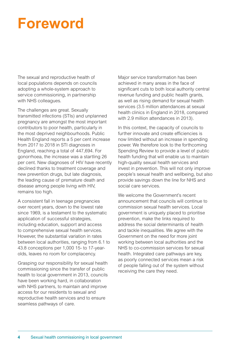## **Foreword**

The sexual and reproductive health of local populations depends on councils adopting a whole-system approach to service commissioning, in partnership with NHS colleagues.

The challenges are great. Sexually transmitted infections (STIs) and unplanned pregnancy are amongst the most important contributors to poor health, particularly in the most deprived neighbourhoods. Public Health England reports a 5 per cent increase from 2017 to 2018 in STI diagnoses in England, reaching a total of 447,694. For gonorrhoea, the increase was a startling 26 per cent. New diagnoses of HIV have recently declined thanks to treatment coverage and new prevention drugs, but late diagnosis, the leading cause of premature death and disease among people living with HIV, remains too high.

A consistent fall in teenage pregnancies over recent years, down to the lowest rate since 1969, is a testament to the systematic application of successful strategies, including education, support and access to comprehensive sexual health services. However, the substantial variation in rates between local authorities, ranging from 6.1 to 43.8 conceptions per 1,000 15- to 17-yearolds, leaves no room for complacency.

Grasping our responsibility for sexual health commissioning since the transfer of public health to local government in 2013, councils have been working hard, in collaboration with NHS partners, to maintain and improve access for our residents to sexual and reproductive health services and to ensure seamless pathways of care.

Major service transformation has been achieved in many areas in the face of significant cuts to both local authority central revenue funding and public health grants, as well as rising demand for sexual health services (3.5 million attendances at sexual health clinics in England in 2018, compared with 2.9 million attendances in 2013).

In this context, the capacity of councils to further innovate and create efficiencies is now limited without an increase in spending power. We therefore look to the forthcoming Spending Review to provide a level of public health funding that will enable us to maintain high-quality sexual health services and invest in prevention. This will not only improve people's sexual health and wellbeing, but also provide savings down the line for NHS and social care services.

We welcome the Government's recent announcement that councils will continue to commission sexual health services. Local government is uniquely placed to prioritise prevention, make the links required to address the social determinants of health and tackle inequalities. We agree with the Government on the need for more joint working between local authorities and the NHS to co-commission services for sexual health. Integrated care pathways are key, as poorly connected services mean a risk of people falling out of the system without receiving the care they need.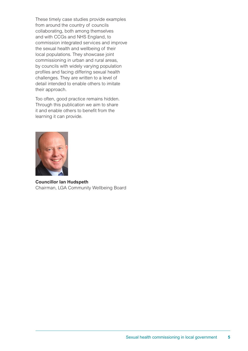These timely case studies provide examples from around the country of councils collaborating, both among themselves and with CCGs and NHS England, to commission integrated services and improve the sexual health and wellbeing of their local populations. They showcase joint commissioning in urban and rural areas, by councils with widely varying population profiles and facing differing sexual health challenges. They are written to a level of detail intended to enable others to imitate their approach.

Too often, good practice remains hidden. Through this publication we aim to share it and enable others to benefit from the learning it can provide.



#### **Councillor Ian Hudspeth** Chairman, LGA Community Wellbeing Board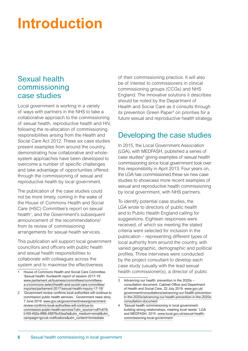## **Introduction**

### Sexual health commissioning case studies

Local government is working in a variety of ways with partners in the NHS to take a collaborative approach to the commissioning of sexual health, reproductive health and HIV, following the re-allocation of commissioning responsibilities arising from the Health and Social Care Act 2012. These six case studies present examples from around the country, demonstrating how collaborative and wholesystem approaches have been developed to overcome a number of specific challenges and take advantage of opportunities offered through the commissioning of sexual and reproductive health by local government.

The publication of the case studies could not be more timely, coming in the wake of the House of Commons Health and Social Care (HSC) Committee's report on sexual health<sup>1</sup>, and the Government's subsequent announcement of the recommendations<sup>2</sup> from its review of commissioning arrangements for sexual health services.

This publication will support local government councillors and officers with public health and sexual health responsibilities to collaborate with colleagues across the system and to maximise the effectiveness

of their commissioning practice. It will also be of interest to commissioners in clinical commissioning groups (CCGs) and NHS England. The innovative solutions it describes should be noted by the Department of Health and Social Care as it consults through its prevention Green Paper<sup>3</sup> on priorities for a future sexual and reproductive health strategy.

### Developing the case studies

In 2015, the Local Government Association (LGA), with MEDFASH, published a series of case studies<sup>4</sup> giving examples of sexual health commissioning since local government took over this responsibility in April 2013. Four years on, the LGA has commissioned these six new case studies to showcase more recent examples of sexual and reproductive health commissioning by local government, with NHS partners.

To identify potential case studies, the LGA wrote to directors of public health and to Public Health England calling for suggestions. Eighteen responses were received, of which six meeting the stated criteria were selected for inclusion in the publication – representing different types of local authority from around the country, with varied geographic, demographic and political profiles. Three interviews were conducted by the project consultant to develop each case study (usually with the lead sexual health commissioner(s), a director of public

<sup>1</sup> House of Commons Health and Social Care Committee. 'Sexual health: fourteenth report of session 2017-19'. [www.parliament.uk/business/committees/committees](http://www.parliament.uk/business/committees/committees-a-z/commons-select/health-and-social-care-committee/inquiries/parliament-2017/sexual-health-inquiry-17-19)[a-z/commons-select/health-and-social-care-committee/](http://www.parliament.uk/business/committees/committees-a-z/commons-select/health-and-social-care-committee/inquiries/parliament-2017/sexual-health-inquiry-17-19) [inquiries/parliament-2017/sexual-health-inquiry-17-19/](http://www.parliament.uk/business/committees/committees-a-z/commons-select/health-and-social-care-committee/inquiries/parliament-2017/sexual-health-inquiry-17-19)

<sup>2 &#</sup>x27;Government review confirms local authorities will continue to commission public health services.' Government news story, 7 June 2019. [www.gov.uk/government/news/government](http://www.gov.uk/government/news/government-review-confirms-local-authorities-will-continue-to-commission-public-health-services?utm_source=cdf7c676-b169-492e-8f66-48878c42ea0a&utm_medium=email&utm_campaign=govuk-notifications&utm_content=immediate)[review-confirms-local-authorities-will-continue-to](http://www.gov.uk/government/news/government-review-confirms-local-authorities-will-continue-to-commission-public-health-services?utm_source=cdf7c676-b169-492e-8f66-48878c42ea0a&utm_medium=email&utm_campaign=govuk-notifications&utm_content=immediate)[commission-public-health-services?utm\\_source=cdf7c676](http://www.gov.uk/government/news/government-review-confirms-local-authorities-will-continue-to-commission-public-health-services?utm_source=cdf7c676-b169-492e-8f66-48878c42ea0a&utm_medium=email&utm_campaign=govuk-notifications&utm_content=immediate) [b169-492e-8f66-48878c42ea0a&utm\\_medium=email&utm\\_](http://www.gov.uk/government/news/government-review-confirms-local-authorities-will-continue-to-commission-public-health-services?utm_source=cdf7c676-b169-492e-8f66-48878c42ea0a&utm_medium=email&utm_campaign=govuk-notifications&utm_content=immediate) [campaign=govuk-notifications&utm\\_content=immediate](http://www.gov.uk/government/news/government-review-confirms-local-authorities-will-continue-to-commission-public-health-services?utm_source=cdf7c676-b169-492e-8f66-48878c42ea0a&utm_medium=email&utm_campaign=govuk-notifications&utm_content=immediate)

<sup>3</sup> Advancing our health: prevention in the 2020s – consultation document. Cabinet Office and Department of Health and Social Care, 22 July 2019. [www.gov.uk/](http://www.gov.uk/government/consultations/advancing-our-health-prevention-in-the-2020s/advancing-our-health-prevention-in-the-2020s-consultation-document) [government/consultations/advancing-our-health-prevention](http://www.gov.uk/government/consultations/advancing-our-health-prevention-in-the-2020s/advancing-our-health-prevention-in-the-2020s-consultation-document)[in-the-2020s/advancing-our-health-prevention-in-the-2020s](http://www.gov.uk/government/consultations/advancing-our-health-prevention-in-the-2020s/advancing-our-health-prevention-in-the-2020s-consultation-document)[consultation-document](http://www.gov.uk/government/consultations/advancing-our-health-prevention-in-the-2020s/advancing-our-health-prevention-in-the-2020s-consultation-document)

<sup>&#</sup>x27;Sexual health commissioning in local government: building strong relationships, meeting local needs.' LGA and MEDFASH, 2015. [www.local.gov.uk/sexual-health](http://www.local.gov.uk/sexual-health-commissioning-local-government)[commissioning-local-government](http://www.local.gov.uk/sexual-health-commissioning-local-government)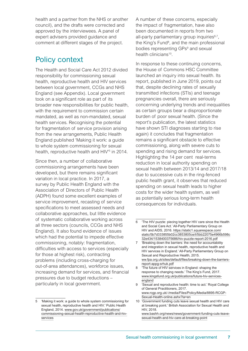health and a partner from the NHS or another council), and the drafts were corrected and approved by the interviewees. A panel of expert advisers provided guidance and comment at different stages of the project.

### Policy context

The Health and Social Care Act 2012 divided responsibility for commissioning sexual health, reproductive health and HIV services between local government, CCGs and NHS England (see Appendix). Local government took on a significant role as part of its broader new responsibilities for public health, with the requirement to commission certain mandated, as well as non-mandated, sexual health services. Recognising the potential for fragmentation of service provision arising from the new arrangements, Public Health England published 'Making it work: a guide to whole system commissioning for sexual health, reproductive health and HIV<sup>'5</sup> in 2014.

Since then, a number of collaborative commissioning arrangements have been developed, but there remains significant variation in local practice. In 2017, a survey by Public Health England with the Association of Directors of Public Health (ADPH) found some excellent examples of service improvement, recasting of service specifications to meet assessed needs and collaborative approaches, but little evidence of systematic collaborative working across all three sectors (councils, CCGs and NHS England). It also found evidence of issues which had the potential to impede effective commissioning, notably: fragmentation, difficulties with access to services (especially for those at highest risk), contracting problems (including cross-charging for out-of-area attendances), workforce issues, increasing demand for services, and financial pressures due to budget reductions – particularly in local government.

A number of these concerns, especially the impact of fragmentation, have also been documented in reports from two all-party parliamentary group inquiries<sup>6,7</sup>, the King's Fund<sup>8</sup>, and the main professional bodies representing GPs<sup>9</sup> and sexual health clinicians<sup>10</sup>.

In response to these continuing concerns, the House of Commons HSC Committee launched an inquiry into sexual health. Its report, published in June 2019, points out that, despite declining rates of sexually transmitted infections (STIs) and teenage pregnancies overall, there are seriously concerning underlying trends and inequalities as certain groups bear a disproportionate burden of poor sexual health. (Since the report's publication, the latest statistics have shown STI diagnoses starting to rise again) it concludes that fragmentation remains a significant obstacle to effective commissioning, along with severe cuts to spending and rising demand for services. Highlighting the 14 per cent real-terms reduction in local authority spending on sexual health between 2013/14 and 2017/18 due to successive cuts in the ring-fenced public health grant, it observes that reduced spending on sexual health leads to higher costs for the wider health system, as well as potentially serious long-term health consequences for individuals.

<sup>5</sup> 'Making it work: a guide to whole system commissioning for sexual health, reproductive health and HIV.' Public Health England, 2014. [www.gov.uk/government/publications/](http://www.gov.uk/government/publications/commissioning-sexual-health-reproductive-health-and-hiv-services) [commissioning-sexual-health-reproductive-health-and-hiv](http://www.gov.uk/government/publications/commissioning-sexual-health-reproductive-health-and-hiv-services)[services](http://www.gov.uk/government/publications/commissioning-sexual-health-reproductive-health-and-hiv-services)

<sup>6</sup> 'The HIV puzzle: piecing together HIV care since the Health and Social Care Act.' All-Party Parliamentary Group on HIV and AIDS, 2016. [https://static1.squarespace.com/](https://static1.squarespace.com/static/5b7d333855b02cc3853805ce/t/5bb22075e4966b598c32e434/1538400375686/hiv-puzzle-report-2016.pdf) [static/5b7d333855b02cc3853805ce/t/5bb22075e4966b598c](https://static1.squarespace.com/static/5b7d333855b02cc3853805ce/t/5bb22075e4966b598c32e434/1538400375686/hiv-puzzle-report-2016.pdf) [32e434/1538400375686/hiv-puzzle-report-2016.pdf](https://static1.squarespace.com/static/5b7d333855b02cc3853805ce/t/5bb22075e4966b598c32e434/1538400375686/hiv-puzzle-report-2016.pdf)

<sup>7</sup> 'Breaking down the barriers: the need for accountability and integration in sexual health, reproductive health and HIV services in England.' All-Party Parliamentary Group on Sexual and Reproductive Health, 2015. [ww.fpa.org.uk/sites/default/files/breaking-down-the-barriers](http://ww.fpa.org.uk/sites/default/files/breaking-down-the-barriers-report-appg-srhuk.pdf)[report-appg-srhuk.pdf](http://ww.fpa.org.uk/sites/default/files/breaking-down-the-barriers-report-appg-srhuk.pdf)

<sup>8</sup> 'The future of HIV services in England: shaping the response to changing needs.' The King's Fund, 2017. [www.kingsfund.org.uk/publications/future-hiv-services](http://www.kingsfund.org.uk/publications/future-hiv-services-england)[england](http://www.kingsfund.org.uk/publications/future-hiv-services-england)

<sup>9 &#</sup>x27;Sexual and reproductive health: time to act.' Royal College of General Practitioners, 2017. [www.rcgp.org.uk/-/media/Files/Policy/Media/8895-RCGP-](http://www.rcgp.org.uk/-/media/Files/Policy/Media/8895-RCGP-Sexual-Health-online.ashx?la=en)[Sexual-Health-online.ashx?la=en](http://www.rcgp.org.uk/-/media/Files/Policy/Media/8895-RCGP-Sexual-Health-online.ashx?la=en)

<sup>10</sup> 'Government funding cuts leave sexual health and HIV care at breaking point.' British Association for Sexual Health and HIV, 2018.

[www.bashh.org/news/news/government-funding-cuts-leave](http://www.bashh.org/news/news/government-funding-cuts-leave-sexual-health-and-hiv-care-at-breaking-point)[sexual-health-and-hiv-care-at-breaking-point](http://www.bashh.org/news/news/government-funding-cuts-leave-sexual-health-and-hiv-care-at-breaking-point)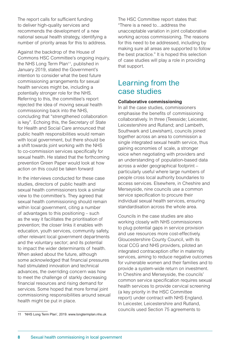The report calls for sufficient funding to deliver high-quality services and recommends the development of a new national sexual health strategy, identifying a number of priority areas for this to address.

Against the backdrop of the House of Commons HSC Committee's ongoing inquiry, the NHS Long Term Plan<sup>11</sup>, published in January 2019, stated the Government's intention to consider what the best future commissioning arrangements for sexual health services might be, including a potentially stronger role for the NHS. Referring to this, the committee's report rejected the idea of moving sexual health commissioning back into the NHS, concluding that "strengthened collaboration is key". Echoing this, the Secretary of State for Health and Social Care announced that public health responsibilities would remain with local government, but there should be a shift towards joint working with the NHS to co-commission services specifically for sexual health. He stated that the forthcoming prevention Green Paper would look at how action on this could be taken forward

In the interviews conducted for these case studies, directors of public health and sexual health commissioners took a similar view to the committee's. They agreed that sexual health commissioning should remain within local government, citing a number of advantages to this positioning – such as the way it facilitates the prioritisation of prevention; the closer links it enables with education, youth services, community safety, other relevant local government departments and the voluntary sector; and its potential to impact the wider determinants of health. When asked about the future, although some acknowledged that financial pressures had stimulated innovation and technical advances, the overriding concern was how to meet the challenge of starkly decreasing financial resources and rising demand for services. Some hoped that more formal joint commissioning responsibilities around sexual health might be put in place.

The HSC Committee report states that: "There is a need to…address the unacceptable variation in joint collaborative working across commissioning. The reasons for this need to be addressed, including by making sure all areas are supported to follow the best practice." It is hoped this selection of case studies will play a role in providing that support.

### Learning from the case studies

#### **Collaborative commissioning**

In all the case studies, commissioners emphasise the benefits of commissioning collaboratively. In three (Teesside; Leicester, Leicestershire and Rutland; and Lambeth, Southwark and Lewisham), councils joined together across an area to commission a single integrated sexual health service, thus gaining economies of scale, a stronger voice when negotiating with providers and an understanding of population-based data across a wider geographical footprint – particularly useful where large numbers of people cross local authority boundaries to access services. Elsewhere, in Cheshire and Merseyside, nine councils use a common service specification to procure their individual sexual health services, ensuring standardisation across the whole area.

Councils in the case studies are also working closely with NHS commissioners to plug potential gaps in service provision and use resources more cost-effectively. Gloucestershire County Council, with its local CCG and NHS providers, piloted an integrated contraception offer in maternity services, aiming to reduce negative outcomes for vulnerable women and their families and to provide a system-wide return on investment. In Cheshire and Merseyside, the councils' common service specification requires sexual health services to provide cervical screening (a key priority in the HSC Committee report) under contract with NHS England. In Leicester, Leicestershire and Rutland, councils used Section 75 agreements to

<sup>11 &#</sup>x27;NHS Long Term Plan', 2019. www.longtermplan.nhs.uk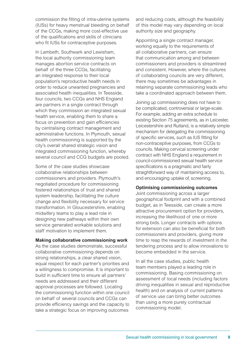commission the fitting of intra-uterine systems (IUSs) for heavy menstrual bleeding on behalf of the CCGs, making more cost-effective use of the qualifications and skills of clinicians who fit IUSs for contraceptive purposes.

In Lambeth, Southwark and Lewisham, the local authority commissioning team manages abortion service contracts on behalf of the three CCGs, facilitating an integrated response to their local population's reproductive health needs in order to reduce unwanted pregnancies and associated health inequalities. In Teesside, four councils, two CCGs and NHS England are partners in a single contract through which they commission an integrated sexual health service, enabling them to share a focus on prevention and gain efficiencies by centralising contract management and administrative functions. In Plymouth, sexual health commissioning is supported by the city's overall shared strategic vision and integrated commissioning function, whereby several council and CCG budgets are pooled.

Some of the case studies showcase collaborative relationships between commissioners and providers. Plymouth's negotiated procedure for commissioning fostered relationships of trust and shared system leadership, facilitating the culture change and flexibility necessary for service transformation. In Gloucestershire, enabling midwifery teams to play a lead role in designing new pathways within their own service generated workable solutions and staff motivation to implement them.

#### **Making collaborative commissioning work**

As the case studies demonstrate, successful collaborative commissioning depends on strong relationships, a clear shared vision, equal respect for each partner's priorities and a willingness to compromise. It is important to build in sufficient time to ensure all partners' needs are addressed and their different approval processes are followed. Locating the commissioning function within one council on behalf of several councils and CCGs can provide efficiency savings and the capacity to take a strategic focus on improving outcomes

and reducing costs, although the feasibility of this model may vary depending on local authority size and geography.

Appointing a single contract manager, working equally to the requirements of all collaborative partners, can ensure that communication among and between commissioners and providers is streamlined and consistent. However, where the cultures of collaborating councils are very different, there may sometimes be advantages in retaining separate commissioning leads who take a coordinated approach between them.

Joining up commissioning does not have to be complicated, controversial or large-scale. For example, adding an extra schedule to existing Section 75 agreements, as in Leicester, Leicestershire and Rutland, is a relatively simple mechanism for delegating the commissioning of specific services, such as IUS fitting for non-contraceptive purposes, from CCGs to councils. Making cervical screening under contract with NHS England a requirement in council-commissioned sexual health service specifications is a pragmatic and fairly straightforward way of maintaining access to, and encouraging uptake of, screening.

#### **Optimising commissioning outcomes**

Joint commissioning across a larger geographical footprint and with a combined budget, as in Teesside, can create a more attractive procurement option for providers, increasing the likelihood of one or more strong bids. Longer contracts with options for extension can also be beneficial for both commissioners and providers, giving more time to reap the rewards of investment in the tendering process and to allow innovations to become embedded in the service.

In all the case studies, public health team members played a leading role in commissioning. Basing commissioning on assessment of local needs (including factors driving inequalities in sexual and reproductive health) and on analysis of current patterns of service use can bring better outcomes than using a more purely contractual commissioning model.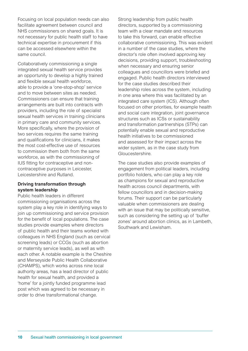Focusing on local population needs can also facilitate agreement between council and NHS commissioners on shared goals. It is not necessary for public health staff to have technical expertise in procurement if this can be accessed elsewhere within the same council.

Collaboratively commissioning a single integrated sexual health service provides an opportunity to develop a highly trained and flexible sexual health workforce, able to provide a 'one-stop-shop' service and to move between sites as needed. Commissioners can ensure that training arrangements are built into contracts with providers, including the role of specialist sexual health services in training clinicians in primary care and community services. More specifically, where the provision of two services requires the same training and qualifications for clinicians, it makes the most cost-effective use of resources to commission them both from the same workforce, as with the commissioning of IUS fitting for contraceptive and noncontraceptive purposes in Leicester, Leicestershire and Rutland.

#### **Driving transformation through system leadership**

Public health leaders in different commissioning organisations across the system play a key role in identifying ways to join up commissioning and service provision for the benefit of local populations. The case studies provide examples where directors of public health and their teams worked with colleagues in NHS England (such as cervical screening leads) or CCGs (such as abortion or maternity service leads), as well as with each other. A notable example is the Cheshire and Merseyside Public Health Collaborative (CHAMPS), which works across nine local authority areas, has a lead director of public health for sexual health, and provided a 'home' for a jointly funded programme lead post which was agreed to be necessary in order to drive transformational change.

Strong leadership from public health directors, supported by a commissioning team with a clear mandate and resources to take this forward, can enable effective collaborative commissioning. This was evident in a number of the case studies, where the director's role often involved approving key decisions, providing support, troubleshooting when necessary and ensuring senior colleagues and councillors were briefed and engaged. Public health directors interviewed for the case studies described their leadership roles across the system, including in one area where this was facilitated by an integrated care system (ICS). Although often focused on other priorities, for example health and social care integration, joint governance structures such as ICSs or sustainability and transformation partnerships (STPs) can potentially enable sexual and reproductive health initiatives to be commissioned and assessed for their impact across the wider system, as in the case study from Gloucestershire.

The case studies also provide examples of engagement from political leaders, including portfolio holders, who can play a key role as champions for sexual and reproductive health across council departments, with fellow councillors and in decision-making forums. Their support can be particularly valuable when commissioners are dealing with an issue that may be politically sensitive, such as considering the setting up of 'buffer zones' around abortion clinics, as in Lambeth, Southwark and Lewisham.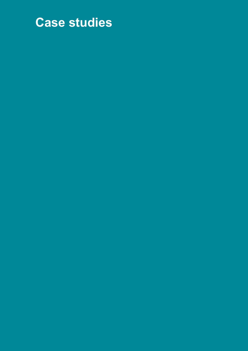## **Case studies**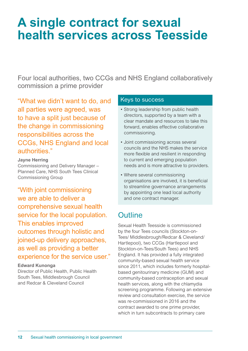## **A single contract for sexual health services across Teesside**

Four local authorities, two CCGs and NHS England collaboratively commission a prime provider

"What we didn't want to do, and all parties were agreed, was to have a split just because of the change in commissioning responsibilities across the CCGs, NHS England and local authorities."

#### **Jayne Herring**

Commissioning and Delivery Manager – Planned Care, NHS South Tees Clinical Commissioning Group

"With joint commissioning we are able to deliver a comprehensive sexual health service for the local population. This enables improved outcomes through holistic and joined-up delivery approaches, as well as providing a better experience for the service user."

#### **Edward Kunonga**

Director of Public Health, Public Health South Tees, Middlesbrough Council and Redcar & Cleveland Council

#### Keys to success

- Strong leadership from public health directors, supported by a team with a clear mandate and resources to take this forward, enables effective collaborative commissioning.
- Joint commissioning across several councils and the NHS makes the service more flexible and resilient in responding to current and emerging population needs and is more attractive to providers.
- Where several commissioning organisations are involved, it is beneficial to streamline governance arrangements by appointing one lead local authority and one contract manager.

### **Outline**

Sexual Health Teesside is commissioned by the four Tees councils (Stockton-on-Tees/ Middlesbrough/Redcar & Cleveland/ Hartlepool), two CCGs (Hartlepool and Stockton-on-Tees/South Tees) and NHS England. It has provided a fully integrated community-based sexual health service since 2011, which includes formerly hospitalbased genitourinary medicine (GUM) and community-based contraception and sexual health services, along with the chlamydia screening programme. Following an extensive review and consultation exercise, the service was re-commissioned in 2016 and the contract awarded to one prime provider, which in turn subcontracts to primary care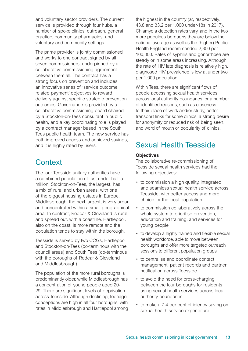and voluntary sector providers. The current service is provided through four hubs, a number of spoke clinics, outreach, general practice, community pharmacies, and voluntary and community settings.

The prime provider is jointly commissioned and works to one contract signed by all seven commissioners, underpinned by a collaborative commissioning agreement between them all. The contract has a strong focus on prevention and includes an innovative series of 'service outcome related payment' objectives to reward delivery against specific strategic prevention outcomes. Governance is provided by a collaborative commissioning board chaired by a Stockton-on-Tees consultant in public health, and a key coordinating role is played by a contract manager based in the South Tees public health team. The new service has both improved access and achieved savings, and it is highly rated by users.

### **Context**

The four Teesside unitary authorities have a combined population of just under half a million. Stockton-on-Tees, the largest, has a mix of rural and urban areas, with one of the biggest housing estates in Europe. Middlesbrough, the next largest, is very urban and concentrated within a small geographical area. In contrast, Redcar & Cleveland is rural and spread out, with a coastline. Hartlepool, also on the coast, is more remote and the population tends to stay within the borough.

Teesside is served by two CCGs, Hartlepool and Stockton-on-Tees (co-terminous with the council areas) and South Tees (co-terminous with the boroughs of Redcar & Cleveland and Middlesbrough).

The population of the more rural boroughs is predominantly older, while Middlesbrough has a concentration of young people aged 20- 29. There are significant levels of deprivation across Teesside. Although declining, teenage conceptions are high in all four boroughs, with rates in Middlesbrough and Hartlepool among the highest in the country (at, respectively, 43.8 and 33.2 per 1,000 under-18s in 2017). Chlamydia detection rates vary, and in the two more populous boroughs they are below the national average as well as the (higher) Public Health England recommended 2,300 per 100,000. Rates of syphilis and gonorrhoea are steady or in some areas increasing. Although the rate of HIV late diagnosis is relatively high, diagnosed HIV prevalence is low at under two per 1,000 population.

Within Tees, there are significant flows of people accessing sexual health services across local authority boundaries for a number of identified reasons, such as closeness to their place of work and/or study, better transport links for some clinics, a strong desire for anonymity or reduced risk of being seen, and word of mouth or popularity of clinics.

### Sexual Health Teesside

#### **Objectives**

The collaborative re-commissioning of Teesside sexual health services had the following objectives:

- to commission a high quality, integrated and seamless sexual health service across Teesside, with better access and more choice for the local population
- to commission collaboratively across the whole system to prioritise prevention, education and training, and services for young people
- to develop a highly trained and flexible sexual health workforce, able to move between boroughs and offer more targeted outreach sessions to different population groups
- to centralise and coordinate contact management, patient records and partner notification across Teesside
- to avoid the need for cross-charging between the four boroughs for residents using sexual health services across local authority boundaries
- to make a 7.4 per cent efficiency saving on sexual health service expenditure.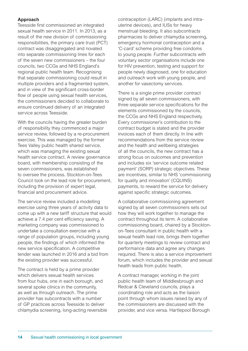#### **Approach**

Teesside first commissioned an integrated sexual health service in 2011. In 2013, as a result of the new division of commissioning responsibilities, the primary care trust (PCT) contract was disaggregated and novated into separate commissioning lines for each of the seven new commissioners – the four councils, two CCGs and NHS England's regional public health team. Recognising that separate commissioning could result in multiple providers and a fragmented system, and in view of the significant cross-border flow of people using sexual health services, the commissioners decided to collaborate to ensure continued delivery of an integrated service across Teesside.

With the councils having the greater burden of responsibility they commenced a major service review, followed by a re-procurement exercise. This was managed by the former Tees Valley public health shared service, which was managing the existing sexual health service contract. A review governance board, with membership consisting of the seven commissioners, was established to oversee the process. Stockton-on-Tees Council took on the lead role for procurement, including the provision of expert legal, financial and procurement advice.

The service review included a modelling exercise using three years of activity data to come up with a new tariff structure that would achieve a 7.4 per cent efficiency saving. A marketing company was commissioned to undertake a consultation exercise with a range of population groups, including young people, the findings of which informed the new service specification. A competitive tender was launched in 2016 and a bid from the existing provider was successful.

The contract is held by a prime provider which delivers sexual health services from four hubs, one in each borough, and several spoke clinics in the community, as well as through outreach. The prime provider has subcontracts with a number of GP practices across Teesside to deliver chlamydia screening, long-acting reversible contraception (LARC) (implants and intrauterine devices), and IUSs for heavy menstrual bleeding. It also subcontracts pharmacies to deliver chlamydia screening, emergency hormonal contraception and a 'C-card' scheme providing free condoms to young people. Further subcontracts with voluntary sector organisations include one for HIV prevention, testing and support for people newly diagnosed, one for education and outreach work with young people, and another for vasectomy services.

There is a single prime provider contract signed by all seven commissioners, with three separate service specifications for the elements commissioned by the councils, the CCGs and NHS England respectively. Every commissioner's contribution to the contract budget is stated and the provider invoices each of them directly. In line with recommendations from the service review and the health and wellbeing strategies of all the councils, the new contract has a strong focus on outcomes and prevention and includes six 'service outcome related payment' (SORP) strategic objectives. These are incentives, similar to NHS 'commissioning for quality and innovation' (CQUINS) payments, to reward the service for delivery against specific strategic outcomes.

A collaborative commissioning agreement signed by all seven commissioners sets out how they will work together to manage the contract throughout its term. A collaborative commissioning board, chaired by a Stocktonon-Tees consultant in public health with a sexual health lead role, brings them together for quarterly meetings to review contract and performance data and agree any changes required. There is also a service improvement forum, which includes the provider and sexual health leads from public health.

A contract manager, working in the joint public health team of Middlesbrough and Redcar & Cleveland councils, plays a coordinating role and acts as the liaison point through whom issues raised by any of the commissioners are discussed with the provider, and vice versa. Hartlepool Borough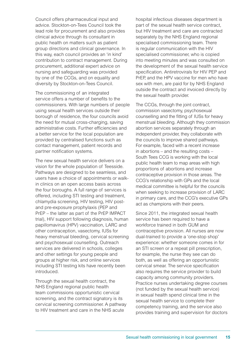Council offers pharmaceutical input and advice. Stockton-on-Tees Council took the lead role for procurement and also provides clinical advice through its consultant in public health on matters such as patient group directions and clinical governance. In this way, each council provides an 'in kind' contribution to contract management. During procurement, additional expert advice on nursing and safeguarding was provided by one of the CCGs, and on equality and diversity by Stockton-on-Tees Council.

The commissioning of an integrated service offers a number of benefits to the commissioners. With large numbers of people using sexual health services outside their borough of residence, the four councils avoid the need for mutual cross-charging, saving administrative costs. Further efficiencies and a better service for the local population are provided by centralised functions such as contact management, patient records and partner notification systems.

The new sexual health service delivers on a vision for the whole population of Teesside. Pathways are designed to be seamless, and users have a choice of appointments or walkin clinics on an open access basis across the four boroughs. A full range of services is offered, including STI testing and treatment, chlamydia screening, HIV testing, HIV postand pre-exposure prophylaxis (PEP and PrEP – the latter as part of the PrEP IMPACT trial), HIV support following diagnosis, human papillomavirus (HPV) vaccination, LARC and other contraception, vasectomy, IUSs for heavy menstrual bleeding, cervical screening and psychosexual counselling. Outreach services are delivered in schools, colleges and other settings for young people and groups at higher risk, and online services including STI testing kits have recently been introduced.

Through the sexual health contract, the NHS England regional public health team commissions opportunistic cervical screening, and the contract signatory is its cervical screening commissioner. A pathway to HIV treatment and care in the NHS acute

hospital infectious diseases department is part of the sexual health service contract, but HIV treatment and care are contracted separately by the NHS England regional specialised commissioning team. There is regular communication with the HIV specialised commissioner, who is copied into meeting minutes and was consulted on the development of the sexual health service specification. Antiretrovirals for HIV PEP and PrEP, and the HPV vaccine for men who have sex with men, are paid for by NHS England outside the contract and invoiced directly by the sexual health provider.

The CCGs, through the joint contract, commission vasectomy, psychosexual counselling and the fitting of IUSs for heavy menstrual bleeding. Although they commission abortion services separately through an independent provider, they collaborate with the councils to improve shared pathways. For example, faced with a recent increase in abortions – and the resulting costs – South Tees CCG is working with the local public health team to map areas with high proportions of abortions and increase contraceptive provision in those areas. The CCG's relationship with GPs and the local medical committee is helpful for the councils when seeking to increase provision of LARC in primary care, and the CCG's executive GPs act as champions with their peers.

Since 2011, the integrated sexual health service has been required to have a workforce trained in both GUM and contraceptive provision. All nurses are now dual-trained to provide a 'one-stop shop' experience: whether someone comes in for an STI screen or a repeat pill prescription, for example, the nurse they see can do both, as well as offering an opportunistic cervical smear. The service specification also requires the service provider to build capacity among community providers. Practice nurses undertaking degree courses (not funded by the sexual health service) in sexual health spend clinical time in the sexual health service to complete their competency training, and the service also provides training and supervision for doctors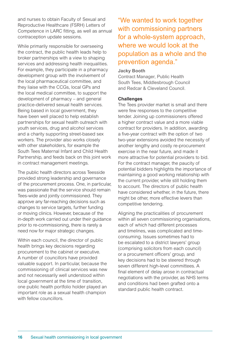and nurses to obtain Faculty of Sexual and Reproductive Healthcare (FSRH) Letters of Competence in LARC fitting, as well as annual contraception update sessions.

While primarily responsible for overseeing the contract, the public health leads help to broker partnerships with a view to shaping services and addressing health inequalities. For example, they participate in a pharmacy development group with the involvement of the local pharmaceutical committee, and they liaise with the CCGs, local GPs and the local medical committee, to support the development of pharmacy – and general practice-delivered sexual health services. Being based in local government, they have been well placed to help establish partnerships for sexual health outreach with youth services, drug and alcohol services and a charity supporting street-based sex workers. The provider also works closely with other stakeholders, for example the South Tees Maternal Infant and Child Health Partnership, and feeds back on this joint work in contract management meetings.

The public health directors across Teesside provided strong leadership and governance of the procurement process. One, in particular, was passionate that the service should remain Tees-wide and jointly commissioned. They approve any far-reaching decisions such as changes to service targets, further funding or moving clinics. However, because of the in-depth work carried out under their guidance prior to re-commissioning, there is rarely a need now for major strategic changes.

Within each council, the director of public health brings key decisions regarding procurement to the cabinet or executive. A number of councillors have provided valuable support. In particular, because the commissioning of clinical services was new and not necessarily well understood within local government at the time of transition, one public health portfolio holder played an important role as a sexual health champion with fellow councillors.

"We wanted to work together with commissioning partners for a whole-system approach, where we would look at the population as a whole and the prevention agenda."

#### **Jacky Booth**

Contract Manager, Public Health South Tees, Middlesbrough Council and Redcar & Cleveland Council.

#### **Challenges**

The Tees provider market is small and there were few responses to the competitive tender. Joining up commissioners offered a higher contract value and a more viable contract for providers. In addition, awarding a five-year contract with the option of two two-year extensions avoided the necessity of another lengthy and costly re-procurement exercise in the near future, and made it more attractive for potential providers to bid. For the contract manager, the paucity of potential bidders highlights the importance of maintaining a good working relationship with the current provider, while still holding them to account. The directors of public health have considered whether, in the future, there might be other, more effective levers than competitive tendering.

Aligning the practicalities of procurement within all seven commissioning organisations, each of which had different processes and timelines, was complicated and timeconsuming. Issues sometimes had to be escalated to a district lawyers' group (comprising solicitors from each council) or a procurement officers' group, and key decisions had to be steered through seven different high-level committees. A final element of delay arose in contractual negotiations with the provider, as NHS terms and conditions had been grafted onto a standard public health contract.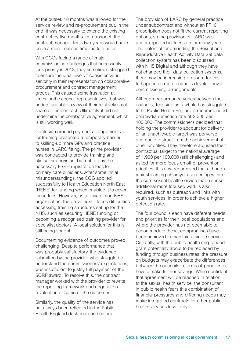At the outset, 18 months was allowed for the service review and re-procurement but, in the end, it was necessary to extend the existing contract by five months. In retrospect, the contract manager feels two years would have been a more realistic timeline to aim for.

With CCGs facing a range of major commissioning challenges that necessarily took priority in 2013, they sometimes struggled to ensure the ideal level of consistency or seniority in their representation on collaborative procurement and contract management groups. This caused some frustration at times for the council representatives, but was understandable in view of their relatively small share of the contract. Ultimately, it did not undermine the collaborative agreement, which is still working well.

Confusion around payment arrangements for training presented a temporary barrier to skilling-up more GPs and practice nurses in LARC fitting. The prime provider was contracted to provide training and clinical supervision, but not to pay the necessary FSRH registration fees for primary care clinicians. After some initial misunderstandings, the CCG applied successfully to Health Education North East (HENE) for funding which enabled it to cover these fees. However, as a private, non-NHS organisation, the provider still faces difficulties accessing training structures set up for the NHS, such as securing HENE funding or becoming a recognised training provider for specialist doctors. A local solution for this is still being sought.

Documenting evidence of outcomes proved challenging. Despite performance that was probably satisfactory, the evidence submitted by the provider, who struggled to understand the commissioners' expectations, was insufficient to justify full payment of the SORP award. To resolve this, the contract manager worked with the provider to rewrite the reporting framework and negotiate a revaluation of some of the outcomes.

Similarly, the quality of the service has not always been reflected in the Public Health England dashboard indicators.

The provision of LARC by general practice under subcontract and without an FP10 prescription does not fit the current reporting options, so the provision of LARC was under-reported in Teesside for many years. The potential for amending the Sexual and Reproductive Health Activity Data Set data collection system has been discussed with NHS Digital and although they have not changed their data collection systems, there may be increasing pressure for this to happen as more councils develop novel commissioning arrangements.

Although performance varies between the councils, Teesside as a whole has struggled to hit Public Health England's recommended chlamydia detection rate of 2,300 per 100,000. The commissioners decided that holding the provider to account for delivery of an unachievable target was perverse and could distract from the achievement of other priorities. They therefore adjusted their contractual target to the national average of 1,900 per 100,000 (still challenging) and asked for more focus on other prevention priorities. It is now recognised that although mainstreaming chlamydia screening within the core sexual health service made sense, additional more focused work is also required, such as outreach and links with youth services, in order to achieve a higher detection rate.

The four councils each have different needs and priorities for their local populations and, where the provider has not been able to accommodate these, compromises have been achieved to maintain a single service. Currently, with the public health ring-fenced grant potentially about to be replaced by funding through business rates, the pressure on budgets may exacerbate the differences between the councils in terms of priorities or how to make further savings. While confident that agreement will be reached in relation to the sexual health service, the consultant in public health fears this combination of financial pressures and differing needs may make integrated contracts for other public health services less likely.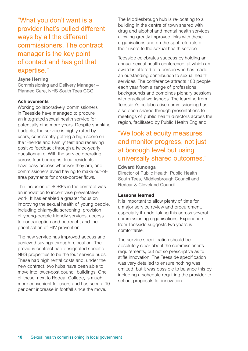"What you don't want is a provider that's pulled different ways by all the different commissioners. The contract manager is the key point of contact and has got that expertise."

#### **Jayne Herring**

Commissioning and Delivery Manager – Planned Care, NHS South Tees CCG

#### **Achievements**

Working collaboratively, commissioners in Teesside have managed to procure an integrated sexual health service for potentially nine more years. Despite shrinking budgets, the service is highly rated by users, consistently getting a high score on the 'Friends and Family' test and receiving positive feedback through a twice-yearly questionnaire. With the service operating across four boroughs, local residents have easy access wherever they are, and commissioners avoid having to make out-ofarea payments for cross-border flows.

The inclusion of SORPs in the contract was an innovation to incentivise preventative work. It has enabled a greater focus on improving the sexual health of young people, including chlamydia screening, provision of young-people friendly services, access to contraception and outreach, and the prioritisation of HIV prevention.

The new service has improved access and achieved savings through relocation. The previous contract had designated specific NHS properties to be the four service hubs. These had high rental costs and, under the new contract, two hubs have been able to move into lower-cost council buildings. One of these, next to Redcar College, is much more convenient for users and has seen a 10 per cent increase in footfall since the move.

The Middlesbrough hub is re-locating to a building in the centre of town shared with drug and alcohol and mental health services, allowing greatly improved links with these organisations and on-the-spot referrals of their users to the sexual health service.

Teesside celebrates success by holding an annual sexual health conference, at which an award is offered to a person who has made an outstanding contribution to sexual health services. The conference attracts 100 people each year from a range of professional backgrounds and combines plenary sessions with practical workshops. The learning from Teesside's collaborative commissioning has also been shared through presentations to meetings of public health directors across the region, facilitated by Public Health England.

### "We look at equity measures and monitor progress, not just at borough level but using universally shared outcomes."

#### **Edward Kunonga**

Director of Public Health, Public Health South Tees, Middlesbrough Council and Redcar & Cleveland Council

#### **Lessons learned**

It is important to allow plenty of time for a major service review and procurement, especially if undertaking this across several commissioning organisations. Experience from Teesside suggests two years is comfortable.

The service specification should be absolutely clear about the commissioner's requirements, but not so prescriptive as to stifle innovation. The Teesside specification was very detailed to ensure nothing was omitted, but it was possible to balance this by including a schedule requiring the provider to set out proposals for innovation.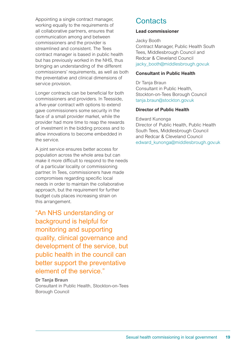Appointing a single contract manager, working equally to the requirements of all collaborative partners, ensures that communication among and between commissioners and the provider is streamlined and consistent. The Tees contract manager is based in public health but has previously worked in the NHS, thus bringing an understanding of the different commissioners' requirements, as well as both the preventative and clinical dimensions of service provision.

Longer contracts can be beneficial for both commissioners and providers. In Teesside, a five-year contract with options to extend gave commissioners some security in the face of a small provider market, while the provider had more time to reap the rewards of investment in the bidding process and to allow innovations to become embedded in the service.

A joint service ensures better access for population across the whole area but can make it more difficult to respond to the needs of a particular locality or commissioning partner. In Tees, commissioners have made compromises regarding specific local needs in order to maintain the collaborative approach, but the requirement for further budget cuts places increasing strain on this arrangement.

"An NHS understanding or background is helpful for monitoring and supporting quality, clinical governance and development of the service, but public health in the council can better support the preventative element of the service."

#### **Dr Tanja Braun**

Consultant in Public Health, Stockton-on-Tees Borough Council

### **Contacts**

#### **Lead commissioner**

Jacky Booth

Contract Manager, Public Health South Tees, Middlesbrough Council and Redcar & Cleveland Council jacky\_booth@middlesbrough.gov.uk

#### **Consultant in Public Health**

Dr Tanja Braun Consultant in Public Health, Stockton-on-Tees Borough Council tanja.braun@stockton.gov.uk

#### **Director of Public Health**

Edward Kunonga Director of Public Health, Public Health South Tees, Middlesbrough Council and Redcar & Cleveland Council edward\_kunonga@middlesbrough.gov.uk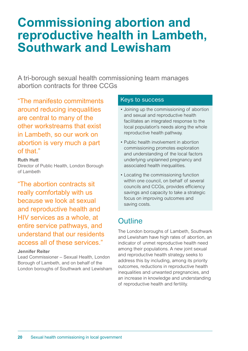## **Commissioning abortion and reproductive health in Lambeth, Southwark and Lewisham**

A tri-borough sexual health commissioning team manages abortion contracts for three CCGs

"The manifesto commitments around reducing inequalities are central to many of the other workstreams that exist in Lambeth, so our work on abortion is very much a part of that."

#### **Ruth Hutt**

Director of Public Health, London Borough of Lambeth

"The abortion contracts sit really comfortably with us because we look at sexual and reproductive health and HIV services as a whole, at entire service pathways, and understand that our residents access all of these services."

#### **Jennifer Reiter**

Lead Commissioner – Sexual Health, London Borough of Lambeth, and on behalf of the London boroughs of Southwark and Lewisham

#### Keys to success

- Joining up the commissioning of abortion and sexual and reproductive health facilitates an integrated response to the local population's needs along the whole reproductive health pathway.
- Public health involvement in abortion commissioning promotes exploration and understanding of the local factors underlying unplanned pregnancy and associated health inequalities.
- Locating the commissioning function within one council, on behalf of several councils and CCGs, provides efficiency savings and capacity to take a strategic focus on improving outcomes and saving costs.

### **Outline**

The London boroughs of Lambeth, Southwark and Lewisham have high rates of abortion, an indicator of unmet reproductive health need among their populations. A new joint sexual and reproductive health strategy seeks to address this by including, among its priority outcomes, reductions in reproductive health inequalities and unwanted pregnancies, and an increase in knowledge and understanding of reproductive health and fertility.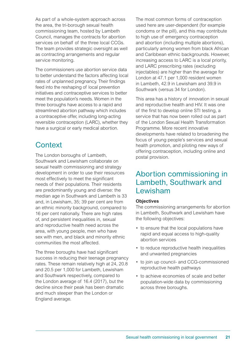As part of a whole-system approach across the area, the tri-borough sexual health commissioning team, hosted by Lambeth Council, manages the contracts for abortion services on behalf of the three local CCGs. The team provides strategic oversight as well as contracting arrangements and regular service monitoring.

The commissioners use abortion service data to better understand the factors affecting local rates of unplanned pregnancy. Their findings feed into the reshaping of local prevention initiatives and contraceptive services to better meet the population's needs. Women in the three boroughs have access to a rapid and streamlined abortion pathway which includes a contraceptive offer, including long-acting reversible contraception (LARC), whether they have a surgical or early medical abortion.

### **Context**

The London boroughs of Lambeth, Southwark and Lewisham collaborate on sexual health commissioning and strategy development in order to use their resources most effectively to meet the significant needs of their populations. Their residents are predominantly young and diverse: the median age in Southwark and Lambeth is 33 and, in Lewisham, 35; 39 per cent are from an ethnic minority background, compared to 16 per cent nationally. There are high rates of, and persistent inequalities in, sexual and reproductive health need across the area, with young people, men who have sex with men, and black and minority ethnic communities the most affected.

The three boroughs have had significant success in reducing their teenage pregnancy rates. These remain relatively high at 24, 20.8 and 20.5 per 1,000 for Lambeth, Lewisham and Southwark respectively, compared to the London average of 16.4 (2017), but the decline since their peak has been dramatic and much steeper than the London or England average.

The most common forms of contraception used here are user-dependent (for example condoms or the pill), and this may contribute to high use of emergency contraception and abortion (including multiple abortions), particularly among women from black African and Caribbean ethnic backgrounds. However, increasing access to LARC is a local priority, and LARC prescribing rates (excluding injectables) are higher than the average for London at 47.1 per 1,000 resident women in Lambeth, 42.9 in Lewisham and 39.9 in Southwark (versus 34 for London).

This area has a history of innovation in sexual and reproductive health and HIV. It was one of the first to develop online STI testing, a service that has now been rolled out as part of the London Sexual Health Transformation Programme. More recent innovative developments have related to broadening the focus of young people's services and sexual health promotion, and piloting new ways of offering contraception, including online and postal provision.

### Abortion commissioning in Lambeth, Southwark and Lewisham

#### **Objectives**

The commissioning arrangements for abortion in Lambeth, Southwark and Lewisham have the following objectives:

- to ensure that the local populations have rapid and equal access to high-quality abortion services
- to reduce reproductive health inequalities and unwanted pregnancies
- to join up council- and CCG-commissioned reproductive health pathways
- to achieve economies of scale and better population-wide data by commissioning across three boroughs.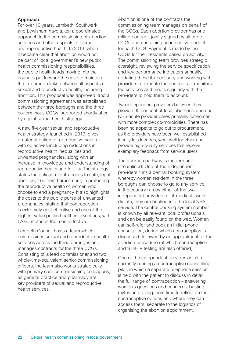#### **Approach**

For over 10 years, Lambeth, Southwark and Lewisham have taken a coordinated approach to the commissioning of abortion services and other aspects of sexual and reproductive health. In 2013, when it became clear that abortion would not be part of local government's new public health commissioning responsibilities, the public health leads moving into the councils put forward the case to maintain the tri-borough links between all aspects of sexual and reproductive health, including abortion. This proposal was approved, and a commissioning agreement was established between the three boroughs and the three co-terminous CCGs, supported shortly after by a joint sexual health strategy.

A new five-year sexual and reproductive health strategy, launched in 2019, gives greater attention to reproductive health, with objectives including reductions in reproductive health inequalities and unwanted pregnancies, along with an increase in knowledge and understanding of reproductive health and fertility. The strategy states the critical role of access to safe, legal abortion, free from harassment, in protecting the reproductive health of women who choose to end a pregnancy. It also highlights the costs to the public purse of unwanted pregnancies, stating that contraception is extremely cost-effective and one of the highest value public health interventions, with LARC methods the most effective.

Lambeth Council hosts a team which commissions sexual and reproductive health services across the three boroughs and manages contracts for the three CCGs. Consisting of a lead commissioner and two whole-time-equivalent senior commissioning officers, the team also works strategically with primary care commissioning colleagues, as general practice and pharmacy are key providers of sexual and reproductive health services.

Abortion is one of the contracts the commissioning team manages on behalf of the CCGs. Each abortion provider has one rolling contract, jointly signed by all three CCGs and containing an indicative budget for each CCG. Payment is made by the CCGs for their residents based on activity. The commissioning team provides strategic oversight, reviewing the service specification and key performance indicators annually, updating these if necessary and working with providers to execute the contracts. It monitors the services and meets regularly with the providers to hold them to account.

Two independent providers between them provide 90 per cent of local abortions, and one NHS acute provider cares primarily for women with more complex co-morbidities. There has been no appetite to go out to procurement, as the providers have been well established locally for decades, work well together and provide high-quality services that receive exemplary feedback from service users.

The abortion pathway is modern and streamlined. One of the independent providers runs a central booking system, whereby women resident in the three boroughs can choose to go to any service in the country run by either of the two independent providers or, if medical issues dictate, they are booked into the local NHS service. The central booking system number is known by all relevant local professionals and can be easily found on the web. Women can self-refer and book an initial phone consultation, during which contraception is discussed, followed by an appointment for the abortion procedure (at which contraception and STI/HIV testing are also offered).

One of the independent providers is also currently running a contraceptive counselling pilot, in which a separate telephone session is held with the patient to discuss in detail the full range of contraception – answering women's questions and concerns, busting myths and giving them time to reflect on their contraceptive options and where they can access them, separate to the logistics of organising the abortion appointment.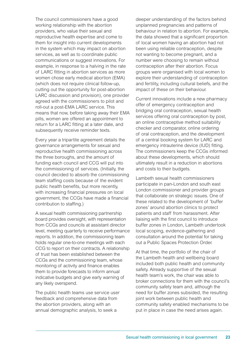The council commissioners have a good working relationship with the abortion providers, who value their sexual and reproductive health expertise and come to them for insight into current developments in the system which may impact on abortion services, as well as to coordinate public communications or suggest innovations. For example, in response to a halving in the rate of LARC fitting in abortion services as more women chose early medical abortion (EMA) (which does not require clinical follow-up, cutting out the opportunity for post-abortion LARC discussion and provision), one provider agreed with the commissioners to pilot and roll-out a post-EMA LARC service. This means that now, before taking away their EMA pills, women are offered an appointment to return for a LARC fitting at a later date, and subsequently receive reminder texts.

Every year a tripartite agreement details the governance arrangements for sexual and reproductive health commissioning across the three boroughs, and the amount of funding each council and CCG will put into the commissioning of services. (Initially, the council decided to absorb the commissioning team staffing costs because of the evident public health benefits, but more recently, with increasing financial pressures on local government, the CCGs have made a financial contribution to staffing.)

A sexual health commissioning partnership board provides oversight, with representation from CCGs and councils at assistant director level, meeting quarterly to receive performance reports. In addition, the commissioning team holds regular one-to-one meetings with each CCG to report on their contracts. A relationship of trust has been established between the CCGs and the commissioning team, whose monitoring of activity and finance enables them to provide forecasts to inform annual indicative budgets and give early warning of any likely overspend.

The public health teams use service user feedback and comprehensive data from the abortion providers, along with an annual demographic analysis, to seek a

deeper understanding of the factors behind unplanned pregnancies and patterns of behaviour in relation to abortion. For example, the data showed that a significant proportion of local women having an abortion had not been using reliable contraception, despite not wanting to become pregnant, and a number were choosing to remain without contraception after their abortion. Focus groups were organised with local women to explore their understanding of contraception and fertility, including cultural beliefs, and the impact of these on their behaviour.

Current innovations include a new pharmacy offer of emergency contraception and bridging oral contraception, sexual health services offering oral contraception by post, an online contraceptive method suitability checker and comparator, online ordering of oral contraception, and the development of a central booking system for LARC and emergency intrauterine device (IUD) fitting. The commissioners keep the CCGs informed about these developments, which should ultimately result in a reduction in abortions and costs to their budgets.

Lambeth sexual health commissioners participate in pan-London and south east London commissioner and provider groups that collaborate on strategic issues. One of these related to the development of 'buffer zones' around abortion clinics to protect patients and staff from harassment. After liaising with the first council to introduce buffer zones in London, Lambeth undertook local scoping, evidence-gathering and consultation around the potential for taking out a Public Spaces Protection Order.

At that time, the portfolio of the chair of the Lambeth health and wellbeing board included both public health and community safety. Already supportive of the sexual health team's work, the chair was able to broker connections for them with the council's community safety team and, although the need for buffer zones subsided, the resulting joint work between public health and community safety enabled mechanisms to be put in place in case the need arises again.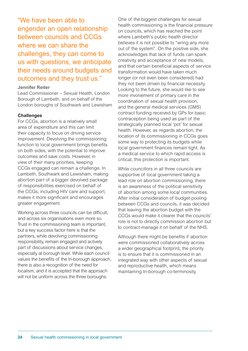"We have been able to engender an open relationship between councils and CCGs where we can share the challenges, they can come to us with questions, we anticipate their needs around budgets and outcomes and they trust us."

#### **Jennifer Reiter**

Lead Commissioner – Sexual Health, London Borough of Lambeth, and on behalf of the London boroughs of Southwark and Lewisham

#### **Challenges**

For CCGs, abortion is a relatively small area of expenditure and this can limit their capacity to focus on driving service improvement. Devolving the commissioning function to local government brings benefits on both sides, with the potential to improve outcomes and save costs. However, in view of their many priorities, keeping CCGs engaged can remain a challenge. In Lambeth, Southwark and Lewisham, making abortion part of a bigger devolved package of responsibilities exercised on behalf of the CCGs, including HIV care and support, makes it more significant and encourages greater engagement.

Working across three councils can be difficult, and across six organisations even more so. Trust in the commissioning team is important, but a key success factor here is that the partners, while devolving commissioning responsibility, remain engaged and actively part of discussions about service changes, especially at borough level. While each council values the benefits of the tri-borough approach, there is also a recognition of the need for localism, and it is accepted that the approach will not be uniform across the three boroughs.

One of the biggest challenges for sexual health commissioning is the financial pressure on councils, which has reached the point where Lambeth's public health director believes it is not possible to "wring any more out of the system". On the positive side, she acknowledges that lack of funds can spark creativity and acceptance of new models, and that certain beneficial aspects of service transformation would have taken much longer (or not even been considered) had they not been driven by financial necessity. Looking to the future, she would like to see more involvement of primary care in the coordination of sexual health provision, and the general medical services (GMS) contract funding received by GPs for basic contraception being used as part of the strategically planned local 'pot' for sexual health. However, as regards abortion, the location of its commissioning in CCGs goes some way to protecting its budgets while local government finances remain tight. As a medical service to which rapid access is critical, this protection is important.

While councillors in all three councils are supportive of local government taking a lead role on abortion commissioning, there is an awareness of the political sensitivity of abortion among some local communities. After initial consideration of budget pooling between CCGs and councils, it was decided that leaving the abortion budget with the CCGs would make it clearer that the councils' role is not to directly commission abortion but to contract-manage it on behalf of the NHS.

Although there might be benefits if abortion were commissioned collaboratively across a wider geographical footprint, the priority is to ensure that it is commissioned in an integrated way with other aspects of sexual and reproductive health, which means maintaining tri-borough co-terminosity.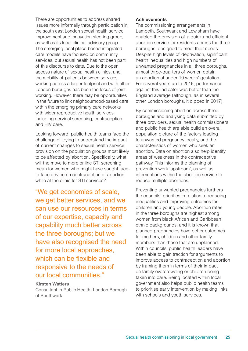There are opportunities to address shared issues more informally through participation in the south east London sexual health service improvement and innovation steering group. as well as its local clinical advisory group. The emerging local place-based integrated care models have focused on community services, but sexual health has not been part of this discourse to date. Due to the open access nature of sexual health clinics, and the mobility of patients between services, working across a larger footprint and with other London boroughs has been the focus of joint working. However, there may be opportunities in the future to link neighbourhood-based care within the emerging primary care networks with wider reproductive health services, including cervical screening, contraception and HIV care.

Looking forward, public health teams face the challenge of trying to understand the impact of current changes to sexual health service provision on the population groups most likely to be affected by abortion. Specifically, what will the move to more online STI screening mean for women who might have sought faceto-face advice on contraception or abortion while at the clinic for STI services?

"We get economies of scale, we get better services, and we can use our resources in terms of our expertise, capacity and capability much better across the three boroughs; but we have also recognised the need for more local approaches, which can be flexible and responsive to the needs of our local communities."

#### **Kirsten Watters**

Consultant in Public Health, London Borough of Southwark

#### **Achievements**

The commissioning arrangements in Lambeth, Southwark and Lewisham have enabled the provision of a quick and efficient abortion service for residents across the three boroughs, designed to meet their needs. Despite high levels of deprivation, significant health inequalities and high numbers of unwanted pregnancies in all three boroughs, almost three-quarters of women obtain an abortion at under 10 weeks' gestation. For several years up to 2016, performance against this indicator was better than the England average (although, as in several other London boroughs, it dipped in 2017).

By commissioning abortion across three boroughs and analysing data submitted by three providers, sexual health commissioners and public health are able build an overall population picture of the factors leading to unwanted pregnancy locally, and the characteristics of women who seek an abortion. Data on abortion also help identify areas of weakness in the contraceptive pathway. This informs the planning of prevention work 'upstream', as well as interventions within the abortion service to reduce multiple abortions.

Preventing unwanted pregnancies furthers the councils' priorities in relation to reducing inequalities and improving outcomes for children and young people. Abortion rates in the three boroughs are highest among women from black African and Caribbean ethnic backgrounds, and it is known that planned pregnancies have better outcomes for mothers, children and other family members than those that are unplanned. Within councils, public health leaders have been able to gain traction for arguments to improve access to contraception and abortion by framing them in terms of their impact on family overcrowding or children being taken into care. Being located within local government also helps public health teams to prioritise early intervention by making links with schools and youth services.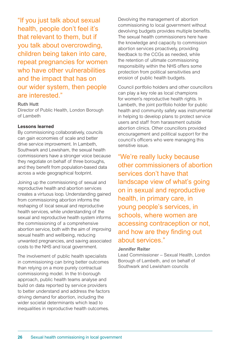"If you just talk about sexual health, people don't feel it's that relevant to them, but if you talk about overcrowding, children being taken into care, repeat pregnancies for women who have other vulnerabilities and the impact that has on our wider system, then people are interested."

#### **Ruth Hutt**

Director of Public Health, London Borough of Lambeth

#### **Lessons learned**

By commissioning collaboratively, councils can gain economies of scale and better drive service improvement. In Lambeth, Southwark and Lewisham, the sexual health commissioners have a stronger voice because they negotiate on behalf of three boroughs, and they benefit from population-based data across a wide geographical footprint.

Joining up the commissioning of sexual and reproductive health and abortion services creates a virtuous loop. Understanding gained from commissioning abortion informs the reshaping of local sexual and reproductive health services, while understanding of the sexual and reproductive health system informs the commissioning of a comprehensive abortion service, both with the aim of improving sexual health and wellbeing, reducing unwanted pregnancies, and saving associated costs to the NHS and local government.

The involvement of public health specialists in commissioning can bring better outcomes than relying on a more purely contractual commissioning model. In the tri-borough approach, public health teams analyse and build on data reported by service providers to better understand and address the factors driving demand for abortion, including the wider societal determinants which lead to inequalities in reproductive health outcomes.

Devolving the management of abortion commissioning to local government without devolving budgets provides multiple benefits. The sexual health commissioners here have the knowledge and capacity to commission abortion services proactively, providing feedback to the CCGs as needed, while the retention of ultimate commissioning responsibility within the NHS offers some protection from political sensitivities and erosion of public health budgets.

Council portfolio holders and other councillors can play a key role as local champions for women's reproductive health rights. In Lambeth, the joint portfolio holder for public health and community safety was instrumental in helping to develop plans to protect service users and staff from harassment outside abortion clinics. Other councillors provided encouragement and political support for the council's officers who were managing this sensitive issue.

"We're really lucky because other commissioners of abortion services don't have that landscape view of what's going on in sexual and reproductive health, in primary care, in young people's services, in schools, where women are accessing contraception or not, and how are they finding out about services."

#### **Jennifer Reiter**

Lead Commissioner – Sexual Health, London Borough of Lambeth, and on behalf of Southwark and Lewisham councils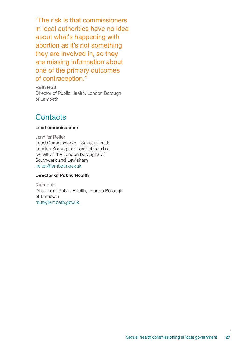"The risk is that commissioners in local authorities have no idea about what's happening with abortion as it's not something they are involved in, so they are missing information about one of the primary outcomes of contraception."

**Ruth Hutt** Director of Public Health, London Borough of Lambeth

### **Contacts**

#### **Lead commissioner**

Jennifer Reiter Lead Commissioner – Sexual Health, London Borough of Lambeth and on behalf of the London boroughs of Southwark and Lewisham jreiter@lambeth.gov.uk

#### **Director of Public Health**

Ruth Hutt Director of Public Health, London Borough of Lambeth rhutt@lambeth.gov.uk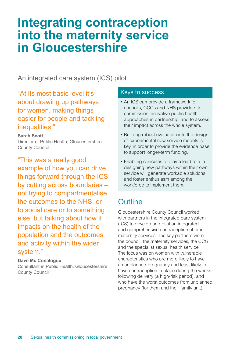## **Integrating contraception into the maternity service in Gloucestershire**

An integrated care system (ICS) pilot

"At its most basic level it's about drawing up pathways for women, making things easier for people and tackling inequalities."

#### **Sarah Scott**

Director of Public Health, Gloucestershire County Council

"This was a really good example of how you can drive things forward through the ICS by cutting across boundaries – not trying to compartmentalise the outcomes to the NHS, or to social care or to something else, but talking about how it impacts on the health of the population and the outcomes and activity within the wider system."

#### **Dave Mc Conalogue**

Consultant in Public Health, Gloucestershire County Council

#### Keys to success

- An ICS can provide a framework for councils, CCGs and NHS providers to commission innovative public health approaches in partnership, and to assess their impact across the whole system.
- Building robust evaluation into the design of experimental new service models is key, in order to provide the evidence base to support longer-term funding.
- Enabling clinicians to play a lead role in designing new pathways within their own service will generate workable solutions and foster enthusiasm among the workforce to implement them.

### **Outline**

Gloucestershire County Council worked with partners in the integrated care system (ICS) to develop and pilot an integrated and comprehensive contraception offer in maternity services. The key partners were the council, the maternity services, the CCG and the specialist sexual health service. The focus was on women with vulnerable characteristics who are more likely to have an unplanned pregnancy and least likely to have contraception in place during the weeks following delivery (a high-risk period), and who have the worst outcomes from unplanned pregnancy (for them and their family unit).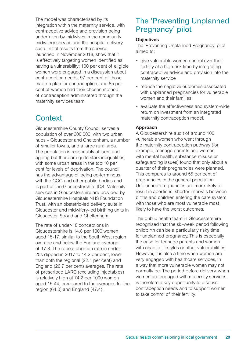The model was characterised by its integration within the maternity service, with contraceptive advice and provision being undertaken by midwives in the community midwifery service and the hospital delivery suite. Initial results from the service, launched in November 2018, show that it is effectively targeting women identified as having a vulnerability: 100 per cent of eligible women were engaged in a discussion about contraception needs, 97 per cent of those made a plan for contraception, and 85 per cent of women had their chosen method of contraception administered through the maternity services team.

### **Context**

Gloucestershire County Council serves a population of over 600,000, with two urban hubs – Gloucester and Cheltenham, a number of smaller towns, and a large rural area. The population is reasonably affluent and ageing but there are quite stark inequalities, with some urban areas in the top 10 per cent for levels of deprivation. The council has the advantage of being co-terminous with the CCG and other public bodies and is part of the Gloucestershire ICS. Maternity services in Gloucestershire are provided by Gloucestershire Hospitals NHS Foundation Trust, with an obstetric-led delivery suite in Gloucester and midwifery-led birthing units in Gloucester, Stroud and Cheltenham.

The rate of under-18 conceptions in Gloucestershire is 14.8 per 1000 women aged 15-17, similar to the South West region average and below the England average of 17.8. The repeat abortion rate in under-25s dipped in 2017 to 14.2 per cent, lower than both the regional (22.1 per cent) and England (26.7 per cent) averages. The rate of prescribed LARC (excluding injectables) is relatively high at 74.2 per 1000 women aged 15-44, compared to the averages for the region (64.0) and England (47.4).

### The 'Preventing Unplanned Pregnancy' pilot

#### **Objectives**

The 'Preventing Unplanned Pregnancy' pilot aimed to:

- give vulnerable women control over their fertility at a high-risk time by integrating contraceptive advice and provision into the maternity service
- reduce the negative outcomes associated with unplanned pregnancies for vulnerable women and their families
- evaluate the effectiveness and system-wide return on investment from an integrated maternity contraception model.

#### **Approach**

A Gloucestershire audit of around 100 vulnerable women who went through the maternity contraception pathway (for example, teenage parents and women with mental health, substance misuse or safeguarding issues) found that only about a quarter of their pregnancies were planned. This compares to around 55 per cent of pregnancies in the general population. Unplanned pregnancies are more likely to result in abortions, shorter intervals between births and children entering the care system, with those who are most vulnerable most likely to have the worst outcomes.

The public health team in Gloucestershire recognised that the six-week period following childbirth can be a particularly risky time for unplanned pregnancy. This is especially the case for teenage parents and women with chaotic lifestyles or other vulnerabilities. However, it is also a time when women are very engaged with healthcare services, in a way that more vulnerable women may not normally be. The period before delivery, when women are engaged with maternity services, is therefore a key opportunity to discuss contraception needs and to support women to take control of their fertility.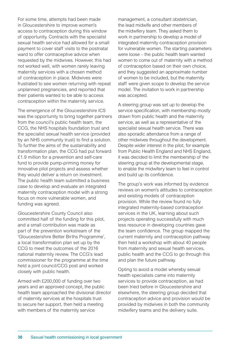For some time, attempts had been made in Gloucestershire to improve women's access to contraception during this window of opportunity. Contracts with the specialist sexual health service had allowed for a small payment to cover staff visits to the postnatal ward to offer contraceptive advice when requested by the midwives. However, this had not worked well, with women rarely leaving maternity services with a chosen method of contraception in place. Midwives were frustrated to see women returning with repeat unplanned pregnancies, and reported that their patients wanted to be able to access contraception within the maternity service.

The emergence of the Gloucestershire ICS was the opportunity to bring together partners from the council's public health team, the CCG, the NHS hospitals foundation trust and the specialist sexual health service (provided by an NHS community trust) to find a solution. To further the aims of the sustainability and transformation plan, the CCG had put forward £1.9 million for a prevention and self-care fund to provide pump-priming money for innovative pilot projects and assess whether they would deliver a return on investment. The public health team submitted a business case to develop and evaluate an integrated maternity contraception model with a strong focus on more vulnerable women, and funding was agreed.

Gloucestershire County Council also committed half of the funding for this pilot, and a small contribution was made as part of the prevention workstream of the 'Gloucestershire Better Births Programme', a local transformation plan set up by the CCG to meet the outcomes of the 2016 national maternity review. The CCG's lead commissioner for the programme at the time held a joint council/CCG post and worked closely with public health.

Armed with £200,000 of funding over two years and an approved concept, the public health team approached the divisional director of maternity services at the hospitals trust to secure her support, then held a meeting with members of the maternity service

management, a consultant obstetrician, the lead midwife and other members of the midwifery team. They asked them to work in partnership to develop a model of integrated maternity contraception provision for vulnerable women. The starting parameters were loose – the public health team wanted women to come out of maternity with a method of contraception based on their own choice, and they suggested an approximate number of women to be included, but the maternity staff were given scope to develop the service model. The invitation to work in partnership was accepted.

A steering group was set up to develop the service specification, with membership mostly drawn from public health and the maternity service, as well as a representative of the specialist sexual health service. There was also sporadic attendance from a range of other midwives throughout the development. Despite wider interest in the pilot, for example from Public Health England and NHS England, it was decided to limit the membership of the steering group at the developmental stage, to enable the midwifery team to feel in control and build up its confidence.

The group's work was informed by evidence reviews on women's attitudes to contraception and existing models of contraception provision. While the review found no fully integrated maternity-based contraception services in the UK, learning about such projects operating successfully with much less resource in developing countries gave the team confidence. The group mapped the current maternity and contraception pathway then held a workshop with about 40 people from maternity and sexual health services, public health and the CCG to go through this and plan the future pathway.

Opting to avoid a model whereby sexual health specialists came into maternity services to provide contraception, as had been tried before in Gloucestershire and elsewhere, the steering group decided that contraception advice and provision would be provided by midwives in both the community midwifery teams and the delivery suite.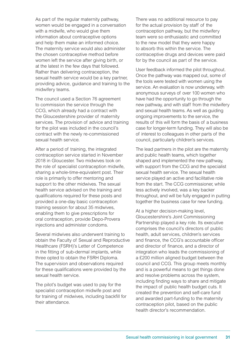As part of the regular maternity pathway, women would be engaged in a conversation with a midwife, who would give them information about contraceptive options and help them make an informed choice. The maternity service would also administer the chosen contraceptive method before women left the service after giving birth, or at the latest in the few days that followed. Rather than delivering contraception, the sexual health service would be a key partner, providing advice, guidance and training to the midwifery teams.

The council used a Section 76 agreement to commission the service through the CCG, which already had a contract with the Gloucestershire provider of maternity services. The provision of advice and training for the pilot was included in the council's contract with the newly re-commissioned sexual health service.

After a period of training, the integrated contraception service started in November 2018 in Gloucester. Two midwives took on the role of specialist contraception midwife, sharing a whole-time-equivalent post. Their role is primarily to offer mentoring and support to the other midwives. The sexual health service advised on the training and qualifications required for these posts and provided a one-day basic contraception training session for about 35 midwives, enabling them to give prescriptions for oral contraception, provide Depo-Provera injections and administer condoms.

Several midwives also underwent training to obtain the Faculty of Sexual and Reproductive Healthcare (FSRH)'s Letter of Competence in the fitting of sub-dermal implants, while three opted to obtain the FSRH Diploma. The supervision and observations required for these qualifications were provided by the sexual health service.

The pilot's budget was used to pay for the specialist contraception midwife post and for training of midwives, including backfill for their attendance.

There was no additional resource to pay for the actual provision by staff of the contraception pathway, but the midwifery team were so enthusiastic and committed to the new model that they were happy to absorb this within the service. The contraceptive drugs and devices were paid for by the council as part of the service.

User feedback informed the pilot throughout. Once the pathway was mapped out, some of the tools were tested with women using the service. An evaluation is now underway, with anonymous surveys of over 100 women who have had the opportunity to go through the new pathway, and with staff from the midwifery and sexual health teams. As well as guiding ongoing improvements to the service, the results of this will form the basis of a business case for longer-term funding. They will also be of interest to colleagues in other parts of the council, particularly children's services.

The lead partners in the pilot are the maternity and public health teams, which together shaped and implemented the new pathway, with support from the CCG and the specialist sexual health service. The sexual health service played an active and facilitative role from the start. The CCG commissioner, while less actively involved, was a key backer throughout, and will be fully engaged in putting together the business case for new funding.

At a higher decision-making level, Gloucestershire's Joint Commissioning Partnership played a key role. Its executive comprises the council's directors of public health, adult services, children's services and finance, the CCG's accountable officer and director of finance, and a director of integration who leads the commissioning of a £200 million aligned budget between the council and CCG. This group meets monthly and is a powerful means to get things done and resolve problems across the system, including finding ways to share and mitigate the impact of public health budget cuts. It created the prevention and self-care fund and awarded part-funding to the maternity contraception pilot, based on the public health director's recommendation.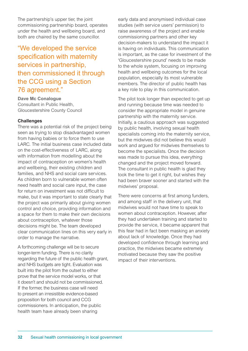The partnership's upper tier, the joint commissioning partnership board, operates under the health and wellbeing board, and both are chaired by the same councillor.

### "We developed the service specification with maternity services in partnership, then commissioned it through the CCG using a Section 76 agreement."

**Dave Mc Conalogue** Consultant in Public Health, Gloucestershire County Council

#### **Challenges**

There was a potential risk of the project being seen as trying to stop disadvantaged women from having babies or to force them to use LARC. The initial business case included data on the cost-effectiveness of LARC, along with information from modelling about the impact of contraception on women's health and wellbeing, their existing children and families, and NHS and social care services. As children born to vulnerable women often need health and social care input, the case for return on investment was not difficult to make, but it was important to state clearly that the project was primarily about giving women control and choice, providing information and a space for them to make their own decisions about contraception, whatever those decisions might be. The team developed clear communication lines on this very early in order to manage the narrative.

A forthcoming challenge will be to secure longer-term funding. There is no clarity regarding the future of the public health grant, and NHS budgets are tight. Evaluation was built into the pilot from the outset to either prove that the service model works, or that it doesn't and should not be commissioned. If the former, the business case will need to present an irresistible evidence-based proposition for both council and CCG commissioners. In anticipation, the public health team have already been sharing

early data and anonymised individual case studies (with service users' permission) to raise awareness of the project and enable commissioning partners and other key decision-makers to understand the impact it is having on individuals. This communication is important, as the case for investment of the 'Gloucestershire pound' needs to be made to the whole system, focusing on improving health and wellbeing outcomes for the local population, especially its most vulnerable members. The director of public health has a key role to play in this communication.

The pilot took longer than expected to get up and running because time was needed to consider the appropriate model in genuine partnership with the maternity service. Initially, a cautious approach was suggested by public health, involving sexual health specialists coming into the maternity service, but the midwives did not believe this would work and argued for midwives themselves to become the specialists. Once the decision was made to pursue this idea, everything changed and the project moved forward. The consultant in public health is glad they took the time to get it right, but wishes they had been braver sooner and started with the midwives' proposal.

There were concerns at first among funders, and among staff in the delivery unit, that midwives would not have time to speak to women about contraception. However, after they had undertaken training and started to provide the service, it became apparent that this fear had in fact been masking an anxiety about lack of knowledge. Once they had developed confidence through learning and practice, the midwives became extremely motivated because they saw the positive impact of their interventions.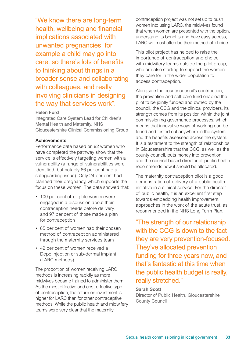"We know there are long-term health, wellbeing and financial implications associated with unwanted pregnancies, for example a child may go into care, so there's lots of benefits to thinking about things in a broader sense and collaborating with colleagues, and really involving clinicians in designing the way that services work".

#### **Helen Ford**

Integrated Care System Lead for Children's Mental Health and Maternity, NHS Gloucestershire Clinical Commissioning Group

#### **Achievements**

Performance data based on 92 women who have completed the pathway show that the service is effectively targeting women with a vulnerability (a range of vulnerabilities were identified, but notably 66 per cent had a safeguarding issue). Only 24 per cent had planned their pregnancy, which supports the focus on these women. The data showed that:

- 100 per cent of eligible women were engaged in a discussion about their contraception needs before delivery, and 97 per cent of those made a plan for contraception
- 85 per cent of women had their chosen method of contraception administered through the maternity services team
- 42 per cent of women received a Depo injection or sub-dermal implant (LARC methods).

The proportion of women receiving LARC methods is increasing rapidly as more midwives became trained to administer them. As the most effective and cost-effective type of contraception, the return on investment is higher for LARC than for other contraceptive methods. While the public health and midwifery teams were very clear that the maternity

contraception project was not set up to push women into using LARC, the midwives found that when women are presented with the option, understand its benefits and have easy access, LARC will most often be their method of choice.

This pilot project has helped to raise the importance of contraception and choice with midwifery teams outside the pilot group, who are also starting to support the women they care for in the wider population to access contraception.

Alongside the county council's contribution, the prevention and self-care fund enabled the pilot to be jointly funded and owned by the council, the CCG and the clinical providers. Its strength comes from its position within the joint commissioning governance processes, which means that innovative ways of working can be found and tested out anywhere in the system and the benefits assessed across the system. It is a testament to the strength of relationships in Gloucestershire that the CCG, as well as the county council, puts money into prevention, and the council-based director of public health recommends how it should be allocated.

The maternity contraception pilot is a good demonstration of delivery of a public health initiative in a clinical service. For the director of public health, it is an excellent first step towards embedding health improvement approaches in the work of the acute trust, as recommended in the NHS Long Term Plan.

"The strength of our relationship with the CCG is down to the fact they are very prevention-focused. They've allocated prevention funding for three years now, and that's fantastic at this time when the public health budget is really, really stretched."

#### **Sarah Scott**

Director of Public Health, Gloucestershire County Council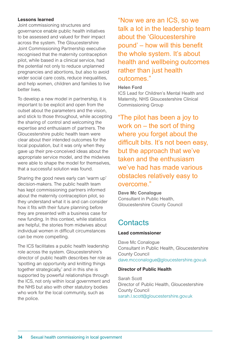#### **Lessons learned**

Joint commissioning structures and governance enable public health initiatives to be assessed and valued for their impact across the system. The Gloucestershire Joint Commissioning Partnership executive recognised that the maternity contraception pilot, while based in a clinical service, had the potential not only to reduce unplanned pregnancies and abortions, but also to avoid wider social care costs, reduce inequalities, and help women, children and families to live better lives.

To develop a new model in partnership, it is important to be explicit and open from the outset about the parameters and the vision, and stick to those throughout, while accepting the sharing of control and welcoming the expertise and enthusiasm of partners. The Gloucestershire public health team were clear about their intended outcomes for the local population, but it was only when they gave up their pre-conceived ideas about the appropriate service model, and the midwives were able to shape the model for themselves, that a successful solution was found.

Sharing the good news early can 'warm up' decision-makers. The public health team has kept commissioning partners informed about the maternity contraception pilot, so they understand what it is and can consider how it fits with their future planning before they are presented with a business case for new funding. In this context, while statistics are helpful, the stories from midwives about individual women in difficult circumstances can be more compelling.

The ICS facilitates a public health leadership role across the system. Gloucestershire's director of public health describes her role as 'spotting an opportunity and knitting things together strategically,' and in this she is supported by powerful relationships through the ICS, not only within local government and the NHS but also with other statutory bodies who work for the local community, such as the police.

"Now we are an ICS, so we talk a lot in the leadership team about the 'Gloucestershire pound' – how will this benefit the whole system. It's about health and wellbeing outcomes rather than just health outcomes."

#### **Helen Ford**

ICS Lead for Children's Mental Health and Maternity, NHS Gloucestershire Clinical Commissioning Group

"The pilot has been a joy to work on – the sort of thing where you forget about the difficult bits. It's not been easy, but the approach that we've taken and the enthusiasm we've had has made various obstacles relatively easy to overcome."

**Dave Mc Conalogue**  Consultant in Public Health, Gloucestershire County Council

### **Contacts**

#### **Lead commissioner**

Dave Mc Conalogue Consultant in Public Health, Gloucestershire County Council dave.mcconalogue@gloucestershire.gov.uk

#### **Director of Public Health**

Sarah Scott Director of Public Health, Gloucestershire County Council sarah.l.scott@gloucestershire.gov.uk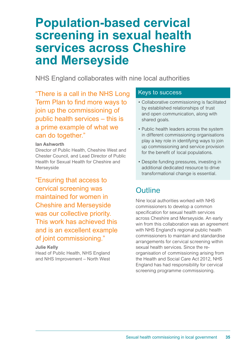## **Population-based cervical screening in sexual health services across Cheshire and Merseyside**

NHS England collaborates with nine local authorities

"There is a call in the NHS Long Term Plan to find more ways to join up the commissioning of public health services – this is a prime example of what we can do together."

#### **Ian Ashworth**

Director of Public Health, Cheshire West and Chester Council, and Lead Director of Public Health for Sexual Health for Cheshire and **Merseyside** 

"Ensuring that access to cervical screening was maintained for women in Cheshire and Merseyside was our collective priority. This work has achieved this and is an excellent example of joint commissioning."

**Julie Kelly**

Head of Public Health, NHS England and NHS Improvement – North West

#### Keys to success

- Collaborative commissioning is facilitated by established relationships of trust and open communication, along with shared goals.
- Public health leaders across the system in different commissioning organisations play a key role in identifying ways to join up commissioning and service provision for the benefit of local populations.
- Despite funding pressures, investing in additional dedicated resource to drive transformational change is essential.

### **Outline**

Nine local authorities worked with NHS commissioners to develop a common specification for sexual health services across Cheshire and Merseyside. An early win from this collaboration was an agreement with NHS England's regional public health commissioners to maintain and standardise arrangements for cervical screening within sexual health services. Since the reorganisation of commissioning arising from the Health and Social Care Act 2012, NHS England has had responsibility for cervical screening programme commissioning.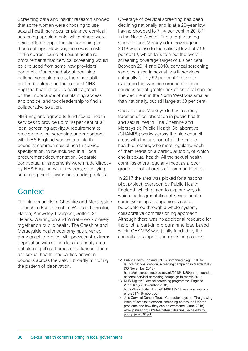Screening data and insight research showed that some women were choosing to use sexual health services for planned cervical screening appointments, while others were being offered opportunistic screening in those settings. However, there was a risk in the current round of sexual health reprocurements that cervical screening would be excluded from some new providers' contracts. Concerned about declining national screening rates, the nine public health directors and the regional NHS England head of public health agreed on the importance of maintaining access and choice, and took leadership to find a collaborative solution.

NHS England agreed to fund sexual health services to provide up to 10 per cent of all local screening activity. A requirement to provide cervical screening under contract with NHS England was written into the councils' common sexual health service specification, to be included in all local procurement documentation. Separate contractual arrangements were made directly by NHS England with providers, specifying screening mechanisms and funding details.

### **Context**

The nine councils in Cheshire and Merseyside – Cheshire East, Cheshire West and Chester, Halton, Knowsley, Liverpool, Sefton, St Helens, Warrington and Wirral – work closely together on public health. The Cheshire and Merseyside health economy has a varied demographic profile, with pockets of extreme deprivation within each local authority area but also significant areas of affluence. There are sexual health inequalities between councils across the patch, broadly mirroring the pattern of deprivation.

Coverage of cervical screening has been declining nationally and is at a 20-year low, having dropped to 71.4 per cent in 2018.<sup>12</sup> In the North West of England (including Cheshire and Merseyside), coverage in 2018 was close to the national level at 71.8 per cent<sup>13</sup>, which fails to meet the overall screening coverage target of 80 per cent. Between 2014 and 2018, cervical screening samples taken in sexual health services nationally fell by 52 per cent $14$ , despite evidence that women screened in these services are at greater risk of cervical cancer. The decline in in the North West was smaller than nationally, but still large at 38 per cent.

Cheshire and Merseyside has a strong tradition of collaboration in public health and sexual health. The Cheshire and Merseyside Public Health Collaborative (CHAMPS) works across the nine council areas with the support of all the public health directors, who meet regularly. Each of them leads on a particular topic, of which one is sexual health. All the sexual health commissioners regularly meet as a peer group to look at areas of common interest.

In 2017 the area was picked for a national pilot project, overseen by Public Health England, which aimed to explore ways in which the fragmentation of sexual health commissioning arrangements could be countered through a whole-system, collaborative commissioning approach. Although there was no additional resource for the pilot, a part-time programme lead based within CHAMPS was jointly funded by the councils to support and drive the process.

<sup>12</sup> Public Health England (PHE) Screening blog: 'PHE to launch national cervical screening campaign in March 2019' (30 November 2018). [https://phescreening.blog.gov.uk/2018/11/30/phe-to-launch](https://phescreening.blog.gov.uk/2018/11/30/phe-to-launch-national-cervical-screening-campaign-in-march-2019)[national-cervical-screening-campaign-in-march-2019](https://phescreening.blog.gov.uk/2018/11/30/phe-to-launch-national-cervical-screening-campaign-in-march-2019)

<sup>13</sup> NHS Digital: 'Cervical screening programme, England, 2017-18' (27 November 2018). [https://files.digital.nhs.uk/B1/66FF72/nhs-cerv-scre-prog](https://files.digital.nhs.uk/B1/66FF72/nhs-cerv-scre-prog-eng-2017-18-report.pdf)[eng-2017-18-report.pdf](https://files.digital.nhs.uk/B1/66FF72/nhs-cerv-scre-prog-eng-2017-18-report.pdf)

<sup>14</sup> Jo's Cervical Cancer Trust: 'Computer says no. The growing issue of access to cervical screening across the UK: the problems and how they can be overcome' (June 2018). [www.jostrust.org.uk/sites/default/files/final\\_accessibility\\_](http://www.jostrust.org.uk/sites/default/files/final_accessibility_policy_jun2018.pdf) [policy\\_jun2018.pdf](http://www.jostrust.org.uk/sites/default/files/final_accessibility_policy_jun2018.pdf)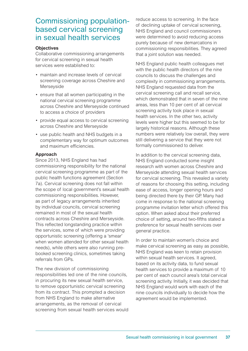### Commissioning populationbased cervical screening in sexual health services

#### **Objectives**

Collaborative commissioning arrangements for cervical screening in sexual health services were established to:

- maintain and increase levels of cervical screening coverage across Cheshire and Merseyside
- ensure that all women participating in the national cervical screening programme across Cheshire and Merseyside continued to access a choice of providers
- provide equal access to cervical screening across Cheshire and Merseyside
- use public health and NHS budgets in a complementary way for optimum outcomes and maximum efficiencies.

#### **Approach**

Since 2013, NHS England has had commissioning responsibility for the national cervical screening programme as part of the public health functions agreement (Section 7a). Cervical screening does not fall within the scope of local government's sexual health commissioning responsibilities. However, as part of legacy arrangements inherited by individual councils, cervical screening remained in most of the sexual health contracts across Cheshire and Merseyside. This reflected longstanding practice within the services, some of which were providing opportunistic screening (offering a 'smear' when women attended for other sexual health needs), while others were also running prebooked screening clinics, sometimes taking referrals from GPs.

The new division of commissioning responsibilities led one of the nine councils, in procuring its new sexual health service, to remove opportunistic cervical screening from its contract. This prompted a decision from NHS England to make alternative arrangements, as the removal of cervical screening from sexual health services would reduce access to screening. In the face of declining uptake of cervical screening, NHS England and council commissioners were determined to avoid reducing access purely because of new demarcations in commissioning responsibilities. They agreed that a joint solution was needed.

NHS England public health colleagues met with the public health directors of the nine councils to discuss the challenges and complexity in commissioning arrangements. NHS England requested data from the cervical screening call and recall service, which demonstrated that in seven of the nine areas, less than 10 per cent of all cervical screening activity took place in sexual health services. In the other two, activity levels were higher but this seemed to be for largely historical reasons. Although these numbers were relatively low overall, they were still delivering a service that they were not formally commissioned to deliver.

In addition to the cervical screening data, NHS England conducted some insight research with women across Cheshire and Merseyside attending sexual health services for cervical screening. This revealed a variety of reasons for choosing this setting, including ease of access, longer opening hours and being directed there by their GP. Many had come in response to the national screening programme invitation letter which offered this option. When asked about their preferred choice of setting, around two-fifths stated a preference for sexual health services over general practice.

In order to maintain women's choice and make cervical screening as easy as possible, NHS England was keen to retain provision within sexual health services. It agreed, based on its activity data, to fund sexual health services to provide a maximum of 10 per cent of each council area's total cervical screening activity. Initially, it was decided that NHS England would work with each of the nine councils individually to decide how the agreement would be implemented.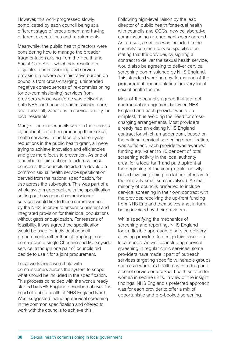However, this work progressed slowly, complicated by each council being at a different stage of procurement and having different expectations and requirements.

Meanwhile, the public health directors were considering how to manage the broader fragmentation arising from the Health and Social Care Act – which had resulted in disjointed commissioning and service provision; a severe administrative burden on councils from cross-charging; unintended negative consequences of re-commissioning (or de-commissioning) services from providers whose workforce was delivering both NHS- and council-commissioned care; and above all, variations in service quality for local residents.

Many of the nine councils were in the process of, or about to start, re-procuring their sexual health services. In the face of year-on-year reductions in the public health grant, all were trying to achieve innovation and efficiencies and give more focus to prevention. As one of a number of joint actions to address these concerns, the councils decided to develop a common sexual health service specification, derived from the national specification, for use across the sub-region. This was part of a whole system approach, with the specification setting out how council-commissioned services would link to those commissioned by the NHS, in order to ensure consistent and integrated provision for their local populations without gaps or duplication. For reasons of feasibility, it was agreed the specification would be used for individual council procurements rather than attempting to cocommission a single Cheshire and Merseyside service, although one pair of councils did decide to use it for a joint procurement.

Local workshops were held with

commissioners across the system to scope what should be included in the specification. This process coincided with the work already started by NHS England described above. The head of public health at NHS England North West suggested including cervical screening in the common specification and offered to work with the councils to achieve this.

Following high-level liaison by the lead director of public health for sexual health with councils and CCGs, new collaborative commissioning arrangements were agreed. As a result, a section was included in the councils' common service specification stating that the provider, by signing a contract to deliver the sexual health service, would also be agreeing to deliver cervical screening commissioned by NHS England. This standard wording now forms part of the procurement documentation for every local sexual health tender.

Most of the councils agreed that a direct contractual arrangement between NHS England and each provider would be simplest, thus avoiding the need for crosscharging arrangements. Most providers already had an existing NHS England contract for which an addendum, based on the national cervical screening specification, was sufficient. Each provider was awarded funding equivalent to 10 per cent of total screening activity in the local authority area, for a local tariff and paid upfront at the beginning of the year (regular activitybased invoicing being too labour-intensive for the relatively small sums involved). A small minority of councils preferred to include cervical screening in their own contract with the provider, receiving the up-front funding from NHS England themselves and, in turn, being invoiced by their providers.

While specifying the mechanics of screening and reporting, NHS England took a flexible approach to service delivery, allowing providers to design this based on local needs. As well as including cervical screening in regular clinic services, some providers have made it part of outreach services targeting specific vulnerable groups, such as a women's health day in a drug and alcohol service or a sexual health service for women in secure units. In view of the insight findings, NHS England's preferred approach was for each provider to offer a mix of opportunistic and pre-booked screening.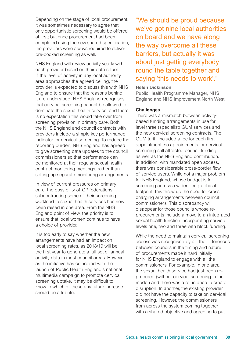Depending on the stage of local procurement, it was sometimes necessary to agree that only opportunistic screening would be offered at first; but once procurement had been completed using the new shared specification, the providers were always required to deliver pre-booked screening as well.

NHS England will review activity yearly with each provider based on their data return. If the level of activity in any local authority area approaches the agreed ceiling, the provider is expected to discuss this with NHS England to ensure that the reasons behind it are understood. NHS England recognises that cervical screening cannot be allowed to dominate the sexual health service, and there is no expectation this would take over from screening provision in primary care. Both the NHS England and council contracts with providers include a simple key performance indicator for cervical screening. To reduce the reporting burden, NHS England has agreed to give screening data updates to the council commissioners so that performance can be monitored at their regular sexual health contract monitoring meetings, rather than setting up separate monitoring arrangements.

In view of current pressures on primary care, the possibility of GP federations subcontracting some of their screening workload to sexual health services has now been raised in one area. From the NHS England point of view, the priority is to ensure that local women continue to have a choice of provider.

It is too early to say whether the new arrangements have had an impact on local screening rates, as 2018/19 will be the first year to generate a full set of annual activity data in most council areas. However, as the initiative has coincided with the launch of Public Health England's national multimedia campaign to promote cervical screening uptake, it may be difficult to know to which of these any future increase should be attributed.

"We should be proud because we've got nine local authorities on board and we have along the way overcome all these barriers, but actually it was about just getting everybody round the table together and saying 'this needs to work'."

#### **Helen Dickinson**

Public Health Programme Manager, NHS England and NHS Improvement North West

#### **Challenges**

There was a mismatch between activitybased funding arrangements in use for level three (specialist) GUM services and the new cervical screening contracts. The GUM tariff included a fee for each first appointment, so appointments for cervical screening still attracted council funding as well as the NHS England contribution. In addition, with mandated open access, there was considerable cross-border flow of service users. While not a major problem for NHS England, whose budget is for screening across a wider geographical footprint, this threw up the need for crosscharging arrangements between council commissioners. This discrepancy will disappear for those councils whose reprocurements include a move to an integrated sexual health function incorporating service levels one, two and three with block funding.

While the need to maintain cervical screening access was recognised by all, the differences between councils in the timing and nature of procurements made it hard initially for NHS England to engage with all the commissioners. For example, in one area the sexual health service had just been reprocured (without cervical screening in the model) and there was a reluctance to create disruption. In another, the existing provider did not have the capacity to take on cervical screening. However, the commissioners from across the system coming together with a shared objective and agreeing to put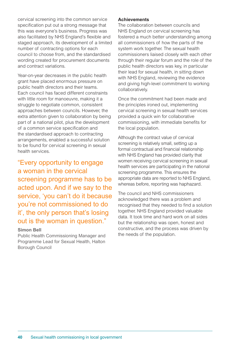cervical screening into the common service specification put out a strong message that this was everyone's business. Progress was also facilitated by NHS England's flexible and staged approach, its development of a limited number of contracting options for each council to choose from, and the standardised wording created for procurement documents and contract variations.

Year-on-year decreases in the public health grant have placed enormous pressure on public health directors and their teams. Each council has faced different constraints with little room for manoeuvre, making it a struggle to negotiate common, consistent approaches between councils. However, the extra attention given to collaboration by being part of a national pilot, plus the development of a common service specification and the standardised approach to contracting arrangements, enabled a successful solution to be found for cervical screening in sexual health services.

"Every opportunity to engage a woman in the cervical screening programme has to be acted upon. And if we say to the service, 'you can't do it because you're not commissioned to do it', the only person that's losing out is the woman in question."

#### **Simon Bell**

Public Health Commissioning Manager and Programme Lead for Sexual Health, Halton Borough Council

#### **Achievements**

The collaboration between councils and NHS England on cervical screening has fostered a much better understanding among all commissioners of how the parts of the system work together. The sexual health commissioners liaised closely with each other through their regular forum and the role of the public health directors was key, in particular their lead for sexual health, in sitting down with NHS England, reviewing the evidence and giving high-level commitment to working collaboratively.

Once the commitment had been made and the principles ironed out, implementing cervical screening in sexual health services provided a quick win for collaborative commissioning, with immediate benefits for the local population.

Although the contract value of cervical screening is relatively small, setting up a formal contractual and financial relationship with NHS England has provided clarity that women receiving cervical screening in sexual health services are participating in the national screening programme. This ensures the appropriate data are reported to NHS England, whereas before, reporting was haphazard.

The council and NHS commissioners acknowledged there was a problem and recognised that they needed to find a solution together. NHS England provided valuable data. It took time and hard work on all sides but the relationship was open, honest and constructive, and the process was driven by the needs of the population.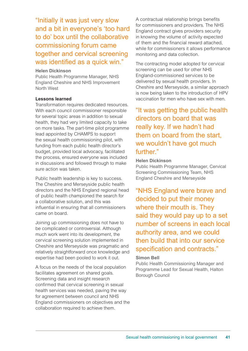"Initially it was just very slow and a bit in everyone's 'too hard to do' box until the collaborative commissioning forum came together and cervical screening was identified as a quick win."

#### **Helen Dickinson**

Public Health Programme Manager, NHS England Cheshire and NHS Improvement North West

#### **Lessons learned**

Transformation requires dedicated resources. With each council commissioner responsible for several topic areas in addition to sexual health, they had very limited capacity to take on more tasks. The part-time pilot programme lead appointed by CHAMPS to support the sexual health commissioning pilot, with funding from each public health director's budget, provided local advocacy, facilitated the process, ensured everyone was included in discussions and followed through to make sure action was taken.

Public health leadership is key to success. The Cheshire and Merseyside public health directors and the NHS England regional head of public health championed the search for a collaborative solution, and this was influential in ensuring that all commissioners came on board.

Joining up commissioning does not have to be complicated or controversial. Although much work went into its development, the cervical screening solution implemented in Cheshire and Merseyside was pragmatic and relatively straightforward once knowledge and expertise had been pooled to work it out.

A focus on the needs of the local population facilitates agreement on shared goals. Screening data and insight research confirmed that cervical screening in sexual health services was needed, paving the way for agreement between council and NHS England commissioners on objectives and the collaboration required to achieve them.

A contractual relationship brings benefits for commissioners and providers. The NHS England contract gives providers security in knowing the volume of activity expected of them and the financial reward attached, while for commissioners it allows performance monitoring and data collection.

The contracting model adopted for cervical screening can be used for other NHS England-commissioned services to be delivered by sexual health providers. In Cheshire and Merseyside, a similar approach is now being taken to the introduction of HPV vaccination for men who have sex with men.

"It was getting the public health directors on board that was really key. If we hadn't had them on board from the start, we wouldn't have got much further."

#### **Helen Dickinson**

Public Health Programme Manager, Cervical Screening Commissioning Team, NHS England Cheshire and Merseyside

### "NHS England were brave and decided to put their money where their mouth is. They said they would pay up to a set number of screens in each local authority area, and we could then build that into our service specification and contracts."

#### **Simon Bell**

Public Health Commissioning Manager and Programme Lead for Sexual Health, Halton Borough Council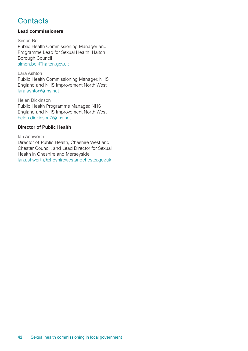### **Contacts**

#### **Lead commissioners**

Simon Bell Public Health Commissioning Manager and Programme Lead for Sexual Health, Halton Borough Council simon.bell@halton.gov.uk

Lara Ashton Public Health Commissioning Manager, NHS England and NHS Improvement North West lara.ashton@nhs.net

Helen Dickinson Public Health Programme Manager, NHS England and NHS Improvement North West helen.dickinson7@nhs.net

#### **Director of Public Health**

Ian Ashworth Director of Public Health, Cheshire West and Chester Council, and Lead Director for Sexual Health in Cheshire and Merseyside ian.ashworth@cheshirewestandchester.gov.uk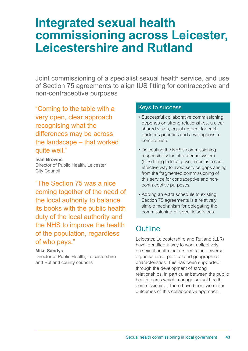## **Integrated sexual health commissioning across Leicester, Leicestershire and Rutland**

Joint commissioning of a specialist sexual health service, and use of Section 75 agreements to align IUS fitting for contraceptive and non-contraceptive purposes

"Coming to the table with a very open, clear approach recognising what the differences may be across the landscape – that worked quite well."

**Ivan Browne** Director of Public Health, Leicester City Council

"The Section 75 was a nice coming together of the need of the local authority to balance its books with the public health duty of the local authority and the NHS to improve the health of the population, regardless of who pays."

#### **Mike Sandys**

Director of Public Health, Leicestershire and Rutland county councils

#### Keys to success

- Successful collaborative commissioning depends on strong relationships, a clear shared vision, equal respect for each partner's priorities and a willingness to compromise.
- Delegating the NHS's commissioning responsibility for intra-uterine system (IUS) fitting to local government is a costeffective way to avoid service gaps arising from the fragmented commissioning of this service for contraceptive and noncontraceptive purposes.
- Adding an extra schedule to existing Section 75 agreements is a relatively simple mechanism for delegating the commissioning of specific services.

### **Outline**

Leicester, Leicestershire and Rutland (LLR) have identified a way to work collectively on sexual health that respects their diverse organisational, political and geographical characteristics. This has been supported through the development of strong relationships, in particular between the public health teams which manage sexual health commissioning. There have been two major outcomes of this collaborative approach.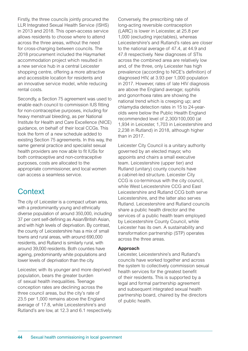Firstly, the three councils jointly procured the LLR Integrated Sexual Health Service (ISHS) in 2013 and 2018. This open-access service allows residents to choose where to attend across the three areas, without the need for cross-charging between councils. The 2018 procurement included the Haymarket accommodation project which resulted in a new service hub in a central Leicester shopping centre, offering a more attractive and accessible location for residents and an innovative service model, while reducing rental costs.

Secondly, a Section 75 agreement was used to enable each council to commission IUS fitting for non-contraceptive purposes, including for heavy menstrual bleeding, as per National Institute for Health and Care Excellence (NICE) guidance, on behalf of their local CCGs. This took the form of a new schedule added to existing Section 75 agreements. In this way, the same general practice and specialist sexual health providers are now able to fit IUSs for both contraceptive and non-contraceptive purposes, costs are allocated to the appropriate commissioner, and local women can access a seamless service.

### **Context**

The city of Leicester is a compact urban area, with a predominantly young and ethnically diverse population of around 350,000, including 37 per cent self-defining as Asian/British Asian, and with high levels of deprivation. By contrast, the county of Leicestershire has a mix of small towns and rural areas, with around 690,000 residents, and Rutland is similarly rural, with around 39,000 residents. Both counties have ageing, predominantly white populations and lower levels of deprivation than the city.

Leicester, with its younger and more deprived population, bears the greater burden of sexual health inequalities. Teenage conception rates are declining across the three council areas, but the city's rate of 23.5 per 1,000 remains above the England average of 17.8, while Leicestershire's and Rutland's are low, at 12.3 and 6.1 respectively. Conversely, the prescribing rate of long-acting reversible contraception (LARC) is lower in Leicester, at 25.8 per 1,000 (excluding injectables), whereas Leicestershire's and Rutland's rates are closer to the national average of 47.4, at 44.9 and 47.8 respectively. New diagnoses of STIs across the combined area are relatively low and, of the three, only Leicester has high prevalence (according to NICE's definition) of diagnosed HIV, at 3.93 per 1,000 population in 2017. However, rates of late HIV diagnosis are above the England average; syphilis and gonorrhoea rates are showing the national trend which is creeping up; and chlamydia detection rates in 15 to 24-yearolds were below the Public Health England recommended level of 2,300/100,000 (at 1,934 in Leicester, 1,703 in Leicestershire and 2,238 in Rutland) in 2018, although higher than in 2017.

Leicester City Council is a unitary authority governed by an elected mayor, who appoints and chairs a small executive team. Leicestershire (upper tier) and Rutland (unitary) county councils have a cabinet-led structure. Leicester City CCG is co-terminous with the city council, while West Leicestershire CCG and East Leicestershire and Rutland CCG both serve Leicestershire, and the latter also serves Rutland. Leicestershire and Rutland councils share a public health director and the services of a public health team employed by Leicestershire County Council, while Leicester has its own. A sustainability and transformation partnership (STP) operates across the three areas.

#### **Approach**

Leicester, Leicestershire's and Rutland's councils have worked together and across the system to collectively commission sexual health services for the greatest benefit of their residents. This is supported by a legal and formal partnership agreement and subsequent integrated sexual health partnership board, chaired by the directors of public health.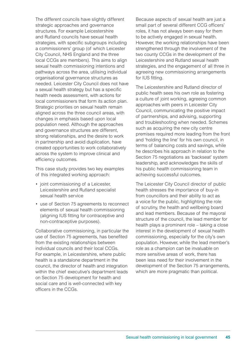The different councils have slightly different strategic approaches and governance structures. For example Leicestershire and Rutland councils have sexual health strategies, with specific subgroups including a commissioners' group (of which Leicester City Council, NHS England and the three local CCGs are members). This aims to align sexual health commissioning intentions and pathways across the area, utilising individual organisational governance structures as needed. Leicester City Council does not have a sexual health strategy but has a specific health needs assessment, with actions for local commissioners that form its action plan. Strategic priorities on sexual health remain aligned across the three council areas, with changes in emphasis based upon local population need. Although the approaches and governance structures are different, strong relationships, and the desire to work in partnership and avoid duplication, have created opportunities to work collaboratively across the system to improve clinical and efficiency outcomes.

This case study provides two key examples of this integrated working approach:

- joint commissioning of a Leicester, Leicestershire and Rutland specialist sexual health service
- use of Section 75 agreements to reconnect elements of sexual health commissioning (aligning IUS fitting for contraceptive and non-contraceptive purposes).

Collaborative commissioning, in particular the use of Section 75 agreements, has benefited from the existing relationships between individual councils and their local CCGs. For example, in Leicestershire, where public health is a standalone department in the council, the director of health and integration within the chief executive's department leads on Section 75 development for health and social care and is well-connected with key officers in the CCGs.

Because aspects of sexual health are just a small part of several different CCG officers' roles, it has not always been easy for them to be actively engaged in sexual health. However, the working relationships have been strengthened through the involvement of the two county CCGs in the development of the Leicestershire and Rutland sexual health strategies, and the engagement of all three in agreeing new commissioning arrangements for IUS fitting.

The Leicestershire and Rutland director of public health sees his own role as fostering a culture of joint working, agreeing common approaches with peers in Leicester City Council, communicating the positive impact of partnerships, and advising, supporting and troubleshooting when needed. Schemes such as acquiring the new city centre premises required more leading from the front and 'holding the line' for his own council, in terms of balancing costs and savings, while he describes his approach in relation to the Section 75 negotiations as 'backseat' system leadership, and acknowledges the skills of his public health commissioning team in achieving successful outcomes.

The Leicester City Council director of public health stresses the importance of buy-in from councillors and their ability to act as a voice for the public, highlighting the role of scrutiny, the health and wellbeing board and lead members. Because of the mayoral structure of the council, the lead member for health plays a prominent role – taking a close interest in the development of sexual health commissioning, especially for the city's own population. However, while the lead member's role as a champion can be invaluable on more sensitive areas of work, there has been less need for their involvement in the development of the Section 75 arrangements, which are more pragmatic than political.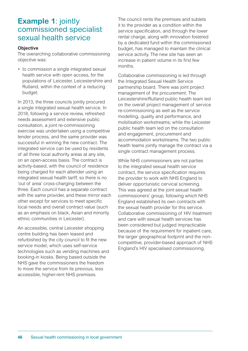### **Example 1**: jointly commissioned specialist sexual health service

#### **Objective**

The overarching collaborative commissioning objective was:

• to commission a single integrated sexual health service with open access, for the populations of Leicester, Leicestershire and Rutland, within the context of a reducing budget.

In 2013, the three councils jointly procured a single integrated sexual health service. In 2018, following a service review, refreshed needs assessment and extensive public consultation, a joint re-commissioning exercise was undertaken using a competitive tender process, and the same provider was successful in winning the new contract. The integrated service can be used by residents of all three local authority areas at any site, on an open-access basis. The contract is activity-based, with the council of residence being charged for each attender using an integrated sexual health tariff, so there is no 'out of area' cross-charging between the three. Each council has a separate contract with the same provider, and these mirror each other except for services to meet specific local needs and overall contract value (such as an emphasis on black, Asian and minority ethnic communities in Leicester).

An accessible, central Leicester shopping centre building has been leased and refurbished by the city council to fit the new service model, which uses self-service technologies such as vending machines and booking-in kiosks. Being based outside the NHS gave the commissioners the freedom to move the service from its previous, less accessible, higher-rent NHS premises.

The council rents the premises and sublets it to the provider as a condition within the service specification, and through the lower rental charge, along with innovation fostered by a dedicated fund within the commissioned budget, has managed to maintain the clinical service activity. The new site has seen an increase in patient volume in its first few months.

Collaborative commissioning is led through the Integrated Sexual Health Service partnership board. There was joint project management of the procurement. The Leicestershire/Rutland public health team led on the overall project management of service re-commissioning as well as the service modelling, quality and performance, and mobilisation workstreams; while the Leicester public health team led on the consultation and engagement, procurement and accommodation workstreams. The two public health teams jointly manage the contract via a single contract management process.

While NHS commissioners are not parties to the integrated sexual health service contract, the service specification requires the provider to work with NHS England to deliver opportunistic cervical screening. This was agreed at the joint sexual health commissioners' group, following which NHS England established its own contracts with the sexual health provider for this service. Collaborative commissioning of HIV treatment and care with sexual health services has been considered but judged impracticable because of the requirement for inpatient care, the larger geographical footprint and the noncompetitive, provider-based approach of NHS England's HIV specialised commissioning.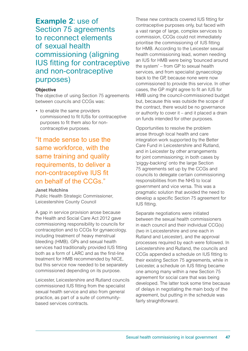### **Example 2**: use of Section 75 agreements to reconnect elements of sexual health commissioning (aligning IUS fitting for contraceptive and non-contraceptive purposes)

#### **Objective**

The objective of using Section 75 agreements between councils and CCGs was:

• to enable the same providers commissioned to fit IUSs for contraceptive purposes to fit them also for noncontraceptive purposes.

### "It made sense to use the same workforce, with the same training and quality requirements, to deliver a non-contraceptive IUS fit on behalf of the CCGs."

#### **Janet Hutchins**

Public Health Strategic Commissioner, Leicestershire County Council

A gap in service provision arose because the Health and Social Care Act 2012 gave commissioning responsibility to councils for contraception and to CCGs for gynaecology, including treatment of heavy menstrual bleeding (HMB). GPs and sexual health services had traditionally provided IUS fitting both as a form of LARC and as the first-line treatment for HMB recommended by NICE, but this service now needed to be separately commissioned depending on its purpose.

Leicester, Leicestershire and Rutland councils commissioned IUS fitting from the specialist sexual health service and also from general practice, as part of a suite of communitybased services contracts.

These new contracts covered IUS fitting for contraceptive purposes only, but faced with a vast range of large, complex services to commission, CCGs could not immediately prioritise the commissioning of IUS fitting for HMB. According to the Leicester sexual health commissioning lead, women needing an IUS for HMB were being 'bounced around the system' – from GP to sexual health services, and from specialist gynaecology back to the GP, because none were now commissioned to provide this service. In other cases, the GP might agree to fit an IUS for HMB using the council-commissioned budget but, because this was outside the scope of the contract, there would be no governance or authority to cover it – and it placed a drain on funds intended for other purposes.

Opportunities to resolve the problem arose through local health and care integration work supported by the Better Care Fund in Leicestershire and Rutland, and in Leicester by other arrangements for joint commissioning; in both cases by 'piggy-backing' onto the large Section 75 agreements set up by the CCGs and councils to delegate certain commissioning responsibilities from the NHS to local government and vice versa. This was a pragmatic solution that avoided the need to develop a specific Section 75 agreement for IUS fitting.

Separate negotiations were initiated between the sexual health commissioners in each council and their individual CCG(s) (two in Leicestershire and one each in Rutland and Leicester), and the approval processes required by each were followed. In Leicestershire and Rutland, the councils and CCGs appended a schedule on IUS fitting to their existing Section 75 agreements, while in Leicester, a schedule on IUS fitting became one among many within a new Section 75 agreement for social care that was being developed. The latter took some time because of delays in negotiating the main body of the agreement, but putting in the schedule was fairly straightforward.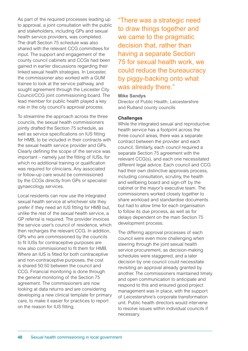As part of the required processes leading up to approval, a joint consultation with the public and stakeholders, including GPs and sexual health service providers, was completed. The draft Section 75 schedule was also shared with the relevant CCG committees for input. The support and engagement of the county council cabinets and CCGs had been gained in earlier discussions regarding their linked sexual health strategies. In Leicester, the commissioner also worked with a GUM trainee to look at the service pathway, and sought agreement through the Leicester City Council/CCG joint commissioning board. The lead member for public health played a key role in the city council's approval process.

To streamline the approach across the three councils, the sexual health commissioners jointly drafted the Section 75 schedule, as well as service specifications on IUS fitting for HMB, to be included in their contracts with the sexual health service provider and GPs. Clearly defining the scope of the service was important – namely just the fitting of IUSs, for which no additional training or qualification was required for clinicians. Any associated or follow-up care would be commissioned by the CCGs directly from GPs or specialist gynaecology services.

Local residents can now use the integrated sexual health service at whichever site they prefer if they need an IUS fitting for HMB but, unlike the rest of the sexual health service, a GP referral is required. The provider invoices the service user's council of residence, which then recharges the relevant CCG. In addition, GPs who are commissioned by the councils to fit IUSs for contraceptive purposes are now also commissioned to fit them for HMB. Where an IUS is fitted for both contraceptive and non-contraceptive purposes, the cost is shared 50:50 between the council and CCG. Financial monitoring is done through the general monitoring of the Section 75 agreement. The commissioners are now looking at data returns and are considering developing a new clinical template for primary care, to make it easier for practices to report on the reason for IUS fitting.

"There was a strategic need to draw things together and we came to the pragmatic decision that, rather than having a separate Section 75 for sexual health work, we could reduce the bureaucracy by piggy-backing onto what was already there."

#### **Mike Sandys**

Director of Public Health, Leicestershire and Rutland county councils

#### **Challenges**

While the integrated sexual and reproductive health service has a footprint across the three council areas, there was a separate contract between the provider and each council. Similarly, each council required a separate Section 75 agreement with the relevant CCG(s), and each one necessitated different legal advice. Each council and CCG had their own distinctive approvals process, including consultation, scrutiny, the health and wellbeing board and sign-off by the cabinet or the mayor's executive team. The commissioners worked closely together to share workload and standardise documents but had to allow time for each organisation to follow its due process, as well as for delays dependent on the main Section 75 development process.

The differing approval processes of each council were even more challenging when steering through the joint sexual health service procurement, as decision-making schedules were staggered, and a later decision by one council could necessitate revisiting an approval already granted by another. The commissioners maintained timely and open communication to anticipate and respond to this and ensured good project management was in place, with the support of Leicestershire's corporate transformation unit. Public health directors would intervene to resolve issues within individual councils if necessary.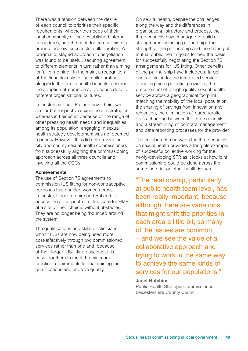There was a tension between the desire of each council to prioritise their specific requirements, whether the needs of their local community or their established internal procedures, and the need for compromise in order to achieve successful collaboration. A pragmatic, staged approach to negotiation was found to be useful, securing agreement to different elements in turn rather than aiming for 'all or nothing'. In the main, a recognition of the financial risks of not collaborating, alongside the public health benefits, ensured the adoption of common approaches despite different organisational cultures.

Leicestershire and Rutland have their own similar but respective sexual health strategies, whereas in Leicester, because of the range of other pressing health needs and inequalities among its population, engaging in sexual health strategy development was not deemed a priority. However, this did not prevent the city and county sexual health commissioners from successfully aligning the commissioning approach across all three councils and involving all the CCGs.

#### **Achievements**

The use of Section 75 agreements to commission IUS fitting for non-contraceptive purposes has enabled women across Leicester, Leicestershire and Rutland to access the appropriate first-line care for HMB, at a site of their choice, without obstacles. They are no longer being 'bounced around the system'.

The qualifications and skills of clinicians who fit IUSs are now being used more cost-effectively through two commissioned services rather than one and, because of their larger IUS-fitting caseload, it is easier for them to meet the minimum practice requirements for maintaining their qualifications and improve quality.

On sexual health, despite the challenges along the way and the differences in organisational structure and process, the three councils have managed to build a strong commissioning partnership. The strength of the partnership and the sharing of mutual public health goals formed the basis for successfully negotiating the Section 75 arrangements for IUS fitting. Other benefits of the partnership have included a larger contract value for the integrated service attracting more potential providers, the procurement of a high-quality sexual health service across a geographical footprint matching the mobility of the local population, the sharing of savings from innovation and relocation, the elimination of bureaucratic cross-charging between the three councils, and a streamlining of contract management and data reporting processes for the provider.

The collaboration between the three councils on sexual health provides a tangible example of successful collective working for the newly-developing STP, as it looks at how joint commissioning could be done across the same footprint on other health issues.

"The relationship, particularly at public health team level, has been really important, because although there are variations that might shift the priorities in each area a little bit, so many of the issues are common – and we see the value of a collaborative approach and trying to work in the same way to achieve the same kinds of services for our populations."

#### **Janet Hutchins**

Public Health Strategic Commissioner, Leicestershire County Council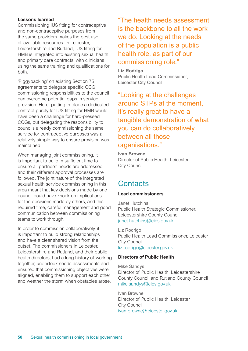#### **Lessons learned**

Commissioning IUS fitting for contraceptive and non-contraceptive purposes from the same providers makes the best use of available resources. In Leicester, Leicestershire and Rutland, IUS fitting for HMB is integrated into existing sexual health and primary care contracts, with clinicians using the same training and qualifications for both.

'Piggybacking' on existing Section 75 agreements to delegate specific CCG commissioning responsibilities to the council can overcome potential gaps in service provision. Here, putting in place a dedicated contract purely for IUS fitting for HMB would have been a challenge for hard-pressed CCGs, but delegating the responsibility to councils already commissioning the same service for contraceptive purposes was a relatively simple way to ensure provision was maintained.

When managing joint commissioning, it is important to build in sufficient time to ensure all partners' needs are addressed and their different approval processes are followed. The joint nature of the integrated sexual health service commissioning in this area meant that key decisions made by one council could have knock-on implications for the decisions made by others, and this required time, careful management and good communication between commissioning teams to work through.

In order to commission collaboratively, it is important to build strong relationships and have a clear shared vision from the outset. The commissioners in Leicester, Leicestershire and Rutland, and their public health directors, had a long history of working together, undertook needs assessments and ensured that commissioning objectives were aligned, enabling them to support each other and weather the storm when obstacles arose.

"The health needs assessment is the backbone to all the work we do. Looking at the needs of the population is a public health role, as part of our commissioning role."

**Liz Rodrigo**

Public Health Lead Commissioner, Leicester City Council

"Looking at the challenges around STPs at the moment, it's really great to have a tangible demonstration of what you can do collaboratively between all those organisations."

**Ivan Browne** Director of Public Health, Leicester City Council

### **Contacts**

#### **Lead commissioners**

Janet Hutchins Public Health Strategic Commissioner, Leicestershire County Council janet.hutchins@leics.gov.uk

Liz Rodrigo Public Health Lead Commissioner, Leicester City Council liz.rodrigo@leicester.gov.uk

#### **Directors of Public Health**

Mike Sandys Director of Public Health, Leicestershire County Council and Rutland County Council mike.sandys@leics.gov.uk

Ivan Browne Director of Public Health, Leicester City Council ivan.browne@leicester.gov.uk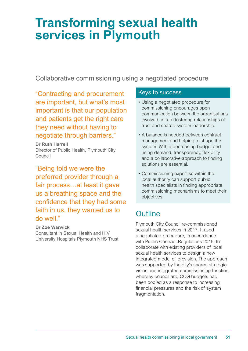## **Transforming sexual health services in Plymouth**

Collaborative commissioning using a negotiated procedure

"Contracting and procurement are important, but what's most important is that our population and patients get the right care they need without having to negotiate through barriers."

**Dr Ruth Harrell** Director of Public Health, Plymouth City Council

"Being told we were the preferred provider through a fair process…at least it gave us a breathing space and the confidence that they had some faith in us, they wanted us to do well."

#### **Dr Zoe Warwick**

Consultant in Sexual Health and HIV, University Hospitals Plymouth NHS Trust

#### Keys to success

- Using a negotiated procedure for commissioning encourages open communication between the organisations involved, in turn fostering relationships of trust and shared system leadership.
- A balance is needed between contract management and helping to shape the system. With a decreasing budget and rising demand, transparency, flexibility and a collaborative approach to finding solutions are essential.
- Commissioning expertise within the local authority can support public health specialists in finding appropriate commissioning mechanisms to meet their objectives.

### **Outline**

Plymouth City Council re-commissioned sexual health services in 2017. It used a negotiated procedure, in accordance with Public Contract Regulations 2015, to collaborate with existing providers of local sexual health services to design a new integrated model of provision. The approach was supported by the city's shared strategic vision and integrated commissioning function, whereby council and CCG budgets had been pooled as a response to increasing financial pressures and the risk of system fragmentation.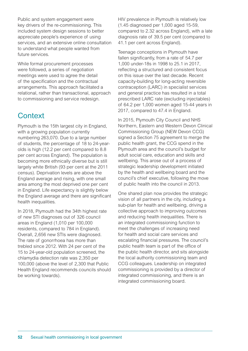Public and system engagement were key drivers of the re-commissioning. This included system design sessions to better appreciate people's experience of using services, and an extensive online consultation to understand what people wanted from future services.

While formal procurement processes were followed, a series of negotiation meetings were used to agree the detail of the specification and the contractual arrangements. This approach facilitated a relational, rather than transactional, approach to commissioning and service redesign.

### **Context**

Plymouth is the 15th largest city in England, with a growing population currently numbering 263,070. Due to a large number of students, the percentage of 18 to 24-yearolds is high (12.2 per cent compared to 8.8 per cent across England). The population is becoming more ethnically diverse but is still largely white British (93 per cent at the 2011 census). Deprivation levels are above the England average and rising, with one small area among the most deprived one per cent in England. Life expectancy is slightly below the England average and there are significant health inequalities.

In 2018, Plymouth had the 34th highest rate of new STI diagnoses out of 326 council areas in England (1,010 per 100,000 residents, compared to 784 in England). Overall, 2,656 new STIs were diagnosed. The rate of gonorrhoea has more than trebled since 2012. With 24 per cent of the 15 to 24-year-old population screened, the chlamydia detection rate was 2,350 per 100,000 (above the level of 2,300 that Public Health England recommends councils should be working towards).

HIV prevalence in Plymouth is relatively low (1.45 diagnosed per 1,000 aged 15-59, compared to 2.32 across England), with a late diagnosis rate of 39.5 per cent (compared to 41.1 per cent across England).

Teenage conceptions in Plymouth have fallen significantly, from a rate of 54.7 per 1,000 under-18s in 1998 to 25.1 in 2017, reflecting a structured and consistent focus on this issue over the last decade. Recent capacity-building for long-acting reversible contraception (LARC) in specialist services and general practice has resulted in a total prescribed LARC rate (excluding injectables) of 64.2 per 1,000 women aged 15-44 years in 2017, compared to 47.4 in England.

In 2015, Plymouth City Council and NHS Northern, Eastern and Western Devon Clinical Commissioning Group (NEW Devon CCG) signed a Section 75 agreement to merge the public health grant, the CCG spend in the Plymouth area and the council's budget for adult social care, education and skills and wellbeing. This arose out of a process of strategic leadership development initiated by the health and wellbeing board and the council's chief executive, following the move of public health into the council in 2013.

One shared plan now provides the strategic vision of all partners in the city, including a sub-plan for health and wellbeing, driving a collective approach to improving outcomes and reducing health inequalities. There is an integrated commissioning function to meet the challenges of increasing need for health and social care services and escalating financial pressures. The council's public health team is part of the office of the public health director, and sits alongside the local authority commissioning team and CCG colleagues. Leadership on integrated commissioning is provided by a director of integrated commissioning, and there is an integrated commissioning board.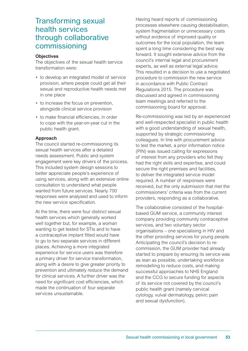### Transforming sexual health services through collaborative commissioning

#### **Objectives**

The objectives of the sexual health service transformation were:

- to develop an integrated model of service provision, where people could get all their sexual and reproductive health needs met in one place
- to increase the focus on prevention, alongside clinical service provision
- to make financial efficiencies, in order to cope with the year-on-year cut in the public health grant.

#### **Approach**

The council started re-commissioning its sexual health services after a detailed needs assessment. Public and system engagement were key drivers of the process. This included system design sessions to better appreciate people's experience of using services, along with an extensive online consultation to understand what people wanted from future services. Nearly 700 responses were analysed and used to inform the new service specification.

At the time, there were four distinct sexual health services which generally worked well together but, for example, a woman wanting to get tested for STIs and to have a contraceptive implant fitted would have to go to two separate services in different places. Achieving a more integrated experience for service users was therefore a primary driver for service transformation, along with a desire to give greater priority to prevention and ultimately reduce the demand for clinical services. A further driver was the need for significant cost efficiencies, which made the continuation of four separate services unsustainable.

Having heard reports of commissioning processes elsewhere causing destabilisation, system fragmentation or unnecessary costs without evidence of improved quality or outcomes for the local population, the team spent a long time considering the best way forward. It sought extensive advice from the council's internal legal and procurement experts, as well as external legal advice. This resulted in a decision to use a negotiated procedure to commission the new service in accordance with Public Contract Regulations 2015. The procedure was discussed and agreed in commissioning team meetings and referred to the commissioning board for approval.

Re-commissioning was led by an experienced and well-respected specialist in public health with a good understanding of sexual health, supported by strategic commissioning colleagues. In line with procurement advice to test the market, a prior information notice (PIN) was issued calling for expressions of interest from any providers who felt they had the right skills and expertise, and could secure the right premises and facilities, to deliver the integrated service model required. A number of responses were received, but the only submission that met the commissioners' criteria was from the current providers, responding as a collaborative.

The collaborative consisted of the hospitalbased GUM service, a community interest company providing community contraceptive services, and two voluntary sector organisations – one specialising in HIV and the other providing services for young people. Anticipating the council's decision to recommission, the GUM provider had already started to prepare by ensuring its service was as lean as possible, undertaking workforce remodelling to reduce costs, and making successful approaches to NHS England and the CCG to secure funding for aspects of its service not covered by the council's public health grant (namely cervical cytology, vulval dermatology, pelvic pain and sexual dysfunction).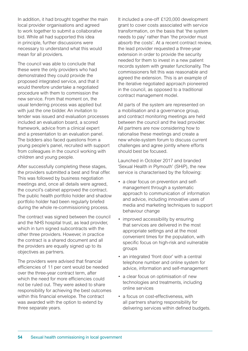In addition, it had brought together the main local provider organisations and agreed to work together to submit a collaborative bid. While all had supported this idea in principle, further discussions were necessary to understand what this would mean for all providers.

The council was able to conclude that these were the only providers who had demonstrated they could provide the proposed integrated service, and that it would therefore undertake a negotiated procedure with them to commission the new service. From that moment on, the usual tendering process was applied but with just the one bidder. An invitation to tender was issued and evaluation processes included an evaluation board, a scored framework, advice from a clinical expert and a presentation to an evaluation panel. The bidders also faced questions from a young people's panel, recruited with support from colleagues in the council working with children and young people.

After successfully completing these stages, the providers submitted a best and final offer. This was followed by business negotiation meetings and, once all details were agreed, the council's cabinet approved the contract. The public health portfolio holder and shadow portfolio holder had been regularly briefed during the whole re-commissioning process.

The contract was signed between the council and the NHS hospital trust, as lead provider, which in turn signed subcontracts with the other three providers. However, in practice the contract is a shared document and all the providers are equally signed up to its objectives as partners.

The providers were advised that financial efficiencies of 11 per cent would be needed over the three-year contract term, after which the need for more efficiencies could not be ruled out. They were asked to share responsibility for achieving the best outcomes within this financial envelope. The contract was awarded with the option to extend by three separate years.

It included a one-off £120,000 development grant to cover costs associated with service transformation, on the basis that 'the system needs to pay' rather than 'the provider must absorb the costs'. At a recent contract review, the lead provider requested a three-year extension in order to provide the security needed for them to invest in a new patient records system with greater functionality. The commissioners felt this was reasonable and agreed the extension. This is an example of the iterative negotiated approach pioneered in the council, as opposed to a traditional contract management model.

All parts of the system are represented on a mobilisation and a governance group, and contract monitoring meetings are held between the council and the lead provider. All partners are now considering how to rationalise these meetings and create a new whole-system forum to discuss current challenges and agree jointly where efforts should best be focused.

Launched in October 2017 and branded 'Sexual Health in Plymouth' (SHiP), the new service is characterised by the following:

- a clear focus on prevention and selfmanagement through a systematic approach to communication of information and advice, including innovative uses of media and marketing techniques to support behaviour change
- improved accessibility by ensuring that services are delivered in the most appropriate settings and at the most convenient times for the population, with specific focus on high-risk and vulnerable groups
- an integrated 'front door' with a central telephone number and online system for advice, information and self-management
- a clear focus on optimisation of new technologies and treatments, including online services
- a focus on cost-effectiveness, with all partners sharing responsibility for delivering services within defined budgets.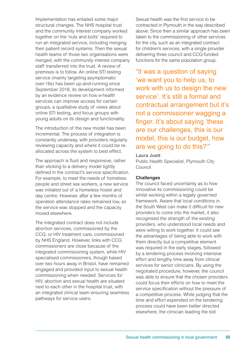Implementation has entailed some major structural changes. The NHS hospital trust and the community interest company worked together on the 'nuts and bolts' required to run an integrated service, including merging their patient record systems. Then the sexual health teams of those two organisations were merged, with the community interest company staff transferred into the trust. A review of premises is to follow. An online STI testing service (mainly targeting asymptomatic over-16s) has been up-and-running since September 2018, its development informed by an evidence review on how e-health services can improve access for certain groups, a qualitative study of views about online STI testing, and focus groups with young adults on its design and functionality.

The introduction of the new model has been incremental. The process of integration is constantly underway, with providers regularly reviewing capacity and where it could be reallocated across the system to best effect.

The approach is fluid and responsive, rather than sticking to a delivery model tightly defined in the contract's service specification. For example, to meet the needs of homeless people and street sex workers, a new service was initiated out of a homeless hostel and day centre. However, after a few months of operation attendance rates remained low, so the service was stopped and the capacity moved elsewhere.

The integrated contract does not include abortion services, commissioned by the CCG, or HIV treatment care, commissioned by NHS England. However, links with CCG commissioners are close because of the integrated commissioning system, while HIV specialised commissioners, though based over two hours away in Bristol, have remained engaged and provided input to sexual health commissioning when needed. Services for HIV, abortion and sexual health are situated next to each other in the hospital trust, with an integrated clinical team ensuring seamless pathways for service users.

Sexual health was the first service to be contracted in Plymouth in the way described above. Since then a similar approach has been taken to the commissioning of other services for the city, such as an integrated contract for children's services, with a single provider delivering three council and CCG-funded functions for the same population group.

"It was a question of saying 'we want you to help us, to work with us to design the new service'. It's still a formal and contractual arrangement but it's not a commissioner wagging a finger. It's about saying 'these are our challenges, this is our model, this is our budget, how are we going to do this?'"

**Laura Juett**

Public Health Specialist, Plymouth City Council

#### **Challenges**

The council faced uncertainty as to how innovative its commissioning could be whilst working within a legally governed framework. Aware that local conditions in the South West can make it difficult for new providers to come into the market, it also recognised the strength of the existing providers, who understood local needs and were willing to work together. It could see the advantages of being able to work with them directly but a competitive element was required in the early stages, followed by a tendering process involving intensive effort and lengthy time away from clinical services for senior clinicians. By using the negotiated procedure, however, the council was able to ensure that the chosen providers could focus their efforts on how to meet the service specification without the pressure of a competitive process. While judging that the time and effort expended on the tendering process could have been better directed elsewhere, the clinician leading the bid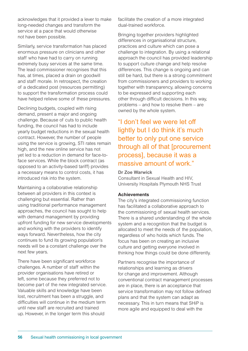acknowledges that it provided a lever to make long-needed changes and transform the service at a pace that would otherwise not have been possible.

Similarly, service transformation has placed enormous pressure on clinicians and other staff who have had to carry on running extremely busy services at the same time. The lead commissioner recognises that this has, at times, placed a drain on goodwill and staff morale. In retrospect, the creation of a dedicated post (resources permitting) to support the transformation process could have helped relieve some of these pressures.

Declining budgets, coupled with rising demand, present a major and ongoing challenge. Because of cuts to public health funding, the council has had to include yearly budget reductions in the sexual health contract. However, the number of people using the service is growing, STI rates remain high, and the new online service has not yet led to a reduction in demand for face-toface services. While the block contract (as opposed to an activity-based tariff) provides a necessary means to control costs, it has introduced risk into the system.

Maintaining a collaborative relationship between all providers in this context is challenging but essential. Rather than using traditional performance management approaches, the council has sought to help with demand management by providing upfront funding for new service developments and working with the providers to identify ways forward. Nevertheless, how the city continues to fund its growing population's needs will be a constant challenge over the next few years.

There have been significant workforce challenges. A number of staff within the provider organisations have retired or left, some because they preferred not to become part of the new integrated service. Valuable skills and knowledge have been lost, recruitment has been a struggle, and difficulties will continue in the medium term until new staff are recruited and trained up. However, in the longer term this should

facilitate the creation of a more integrated dual-trained workforce.

Bringing together providers highlighted differences in organisational structure, practices and culture which can pose a challenge to integration. By using a relational approach the council has provided leadership to support culture change and help resolve differences. This change is ongoing and can still be hard, but there is a strong commitment from commissioners and providers to working together with transparency, allowing concerns to be expressed and supporting each other through difficult decisions. In this way, problems – and how to resolve them – are owned by the whole system.

### "I don't feel we were let off lightly but I do think it's much better to only put one service through all of that [procurement process], because it was a massive amount of work."

#### **Dr Zoe Warwick**

Consultant in Sexual Health and HIV, University Hospitals Plymouth NHS Trust

#### **Achievements**

The city's integrated commissioning function has facilitated a collaborative approach to the commissioning of sexual health services. There is a shared understanding of the whole system and a recognition that the budget is allocated to meet the needs of the population, regardless of who holds which funds. The focus has been on creating an inclusive culture and getting everyone involved in thinking how things could be done differently.

Partners recognise the importance of relationships and learning as drivers for change and improvement. Although conventional contract management processes are in place, there is an acceptance that service transformation may not follow defined plans and that the system can adapt as necessary. This in turn means that SHiP is more agile and equipped to deal with the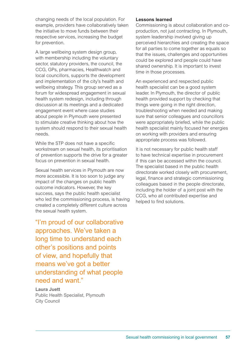changing needs of the local population. For example, providers have collaboratively taken the initiative to move funds between their respective services, increasing the budget for prevention.

A large wellbeing system design group, with membership including the voluntary sector, statutory providers, the council, the CCG, GPs, pharmacies, Healthwatch and local councillors, supports the development and implementation of the city's health and wellbeing strategy. This group served as a forum for widespread engagement in sexual health system redesign, including through discussion at its meetings and a dedicated engagement event where case studies about people in Plymouth were presented to stimulate creative thinking about how the system should respond to their sexual health needs.

While the STP does not have a specific workstream on sexual health, its prioritisation of prevention supports the drive for a greater focus on prevention in sexual health.

Sexual health services in Plymouth are now more accessible. It is too soon to judge any impact of the changes on public health outcome indicators. However, the key success, says the public health specialist who led the commissioning process, is having created a completely different culture across the sexual health system.

"I'm proud of our collaborative approaches. We've taken a long time to understand each other's positions and points of view, and hopefully that means we've got a better understanding of what people need and want."

#### **Laura Juett**

Public Health Specialist, Plymouth City Council

#### **Lessons learned**

Commissioning is about collaboration and coproduction, not just contracting. In Plymouth, system leadership involved giving up perceived hierarchies and creating the space for all parties to come together as equals so that the issues, challenges and opportunities could be explored and people could have shared ownership. It is important to invest time in those processes.

An experienced and respected public health specialist can be a good system leader. In Plymouth, the director of public health provided support by checking that things were going in the right direction, troubleshooting when needed and making sure that senior colleagues and councillors were appropriately briefed, while the public health specialist mainly focused her energies on working with providers and ensuring appropriate process was followed.

It is not necessary for public health staff to have technical expertise in procurement if this can be accessed within the council. The specialist based in the public health directorate worked closely with procurement, legal, finance and strategic commissioning colleagues based in the people directorate, including the holder of a joint post with the CCG, who all contributed expertise and helped to find solutions.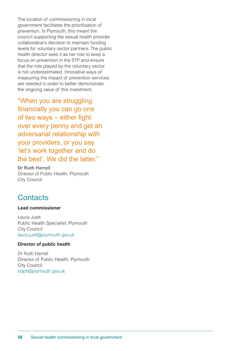The location of commissioning in local government facilitates the prioritisation of prevention. In Plymouth, this meant the council supporting the sexual health provider collaborative's decision to maintain funding levels for voluntary sector partners. The public health director sees it as her role to keep a focus on prevention in the STP and ensure that the role played by the voluntary sector is not underestimated. Innovative ways of measuring the impact of prevention services are needed in order to better demonstrate the ongoing value of this investment.

"When you are struggling financially you can go one of two ways – either fight over every penny and get an adversarial relationship with your providers, or you say 'let's work together and do the best'. We did the latter."

**Dr Ruth Harrell** Director of Public Health, Plymouth City Council

### **Contacts**

#### **Lead commissioner**

Laura Juett Public Health Specialist, Plymouth City Council laura.juett@plymouth.gov.uk

#### **Director of public health**

Dr Ruth Harrell Director of Public Health, Plymouth City Council odph@plymouth.gov.uk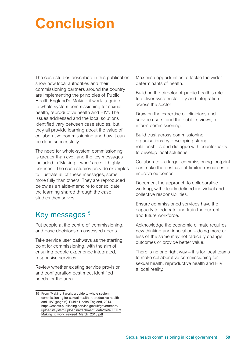## **Conclusion**

The case studies described in this publication show how local authorities and their commissioning partners around the country are implementing the principles of Public Health England's 'Making it work: a guide to whole system commissioning for sexual health, reproductive health and HIV'. The issues addressed and the local solutions identified vary between case studies, but they all provide learning about the value of collaborative commissioning and how it can be done successfully.

The need for whole-system commissioning is greater than ever, and the key messages included in 'Making it work' are still highly pertinent. The case studies provide examples to illustrate all of these messages, some more fully than others. They are reproduced below as an aide-memoire to consolidate the learning shared through the case studies themselves.

### Key messages<sup>15</sup>

Put people at the centre of commissioning, and base decisions on assessed needs.

Take service user pathways as the starting point for commissioning, with the aim of ensuring people experience integrated, responsive services.

Review whether existing service provision and configuration best meet identified needs for the area.

Maximise opportunities to tackle the wider determinants of health.

Build on the director of public health's role to deliver system stability and integration across the sector.

Draw on the expertise of clinicians and service users, and the public's views, to inform commissioning.

Build trust across commissioning organisations by developing strong relationships and dialogue with counterparts to develop local solutions.

Collaborate – a larger commissioning footprint can make the best use of limited resources to improve outcomes.

Document the approach to collaborative working, with clearly defined individual and collective responsibilities.

Ensure commissioned services have the capacity to educate and train the current and future workforce.

Acknowledge the economic climate requires new thinking and innovation – doing more or less of the same may not radically change outcomes or provide better value.

There is no one right way – it is for local teams to make collaborative commissioning for sexual health, reproductive health and HIV a local reality.

<sup>15</sup> From 'Making it work: a guide to whole system commissioning for sexual health, reproductive health and HIV' (page 6). Public Health England, 2014. [https://assets.publishing.service.gov.uk/government/](https://assets.publishing.service.gov.uk/government/uploads/system/uploads/attachment_data/file/408357/Making_it_work_revised_March_2015.pdf) [uploads/system/uploads/attachment\\_data/file/408357/](https://assets.publishing.service.gov.uk/government/uploads/system/uploads/attachment_data/file/408357/Making_it_work_revised_March_2015.pdf) [Making\\_it\\_work\\_revised\\_March\\_2015.pdf](https://assets.publishing.service.gov.uk/government/uploads/system/uploads/attachment_data/file/408357/Making_it_work_revised_March_2015.pdf)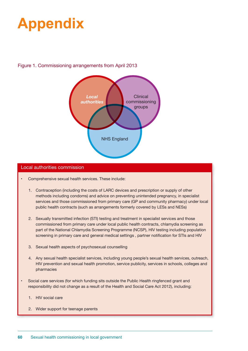## **Appendix**

#### Figure 1. Commissioning arrangements from April 2013



#### Local authorities commission

- Comprehensive sexual health services. These include:
	- 1. Contraception (including the costs of LARC devices and prescription or supply of other methods including condoms) and advice on preventing unintended pregnancy, in specialist services and those commissioned from primary care (GP and community pharmacy) under local public health contracts (such as arrangements formerly covered by LESs and NESs)
	- 2. Sexually transmitted infection (STI) testing and treatment in specialist services and those commissioned from primary care under local public health contracts, chlamydia screening as part of the National Chlamydia Screening Programme (NCSP), HIV testing including population screening in primary care and general medical settings , partner notification for STIs and HIV
	- 3. Sexual health aspects of psychosexual counselling
	- 4. Any sexual health specialist services, including young people's sexual health services, outreach, HIV prevention and sexual health promotion, service publicity, services in schools, colleges and pharmacies
- Social care services (for which funding sits outside the Public Health ringfenced grant and responsibility did not change as a result of the Health and Social Care Act 2012), including:
	- 1. HIV social care
	- 2. Wider support for teenage parents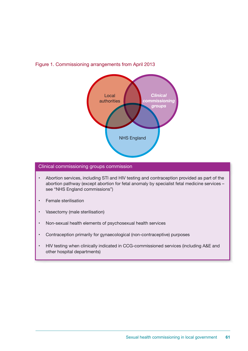

#### Figure 1. Commissioning arrangements from April 2013

#### Clinical commissioning groups commission

- Abortion services, including STI and HIV testing and contraception provided as part of the abortion pathway (except abortion for fetal anomaly by specialist fetal medicine services – see "NHS England commissions")
- **Female sterilisation**
- Vasectomy (male sterilisation)
- • Non-sexual health elements of psychosexual health services
- Contraception primarily for gynaecological (non-contraceptive) purposes
- HIV testing when clinically indicated in CCG-commissioned services (including A&E and other hospital departments)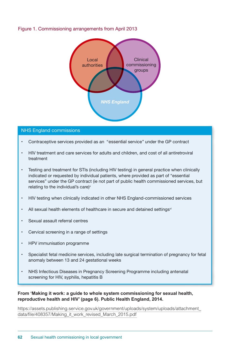#### Figure 1. Commissioning arrangements from April 2013



#### NHS England commissions

- Contraceptive services provided as an "essential service" under the GP contract
- HIV treatment and care services for adults and children, and cost of all antiretroviral treatment
- Testing and treatment for STIs (including HIV testing) in general practice when clinically indicated or requested by individual patients, where provided as part of "essential services" under the GP contract (ie not part of public health commissioned services, but relating to the individual's care) $v$
- HIV testing when clinically indicated in other NHS England-commissioned services
- All sexual health elements of healthcare in secure and detained settings<sup>vi</sup>
- • Sexual assault referral centres
- • Cervical screening in a range of settings
- • HPV immunisation programme
- • Specialist fetal medicine services, including late surgical termination of pregnancy for fetal anomaly between 13 and 24 gestational weeks
- NHS Infectious Diseases in Pregnancy Screening Programme including antenatal screening for HIV, syphilis, hepatitis B

#### From 'Making it work: a guide to whole system commissioning for sexual health, reproductive health and HIV' (page 6). Public Health England, 2014.

https://assets.publishing.service.gov.uk/government/uploads/system/uploads/attachment\_ data/file/408357/Making\_it\_work\_revised\_March\_2015.pdf further details see when  $\frac{1}{2}$  downloads/about/noms/work-with-partnership-agreement-partnership-agreement-partnership-agreement-partnership-agreement-partnership-agreement-partnership-agreement-partnership-agreement-p